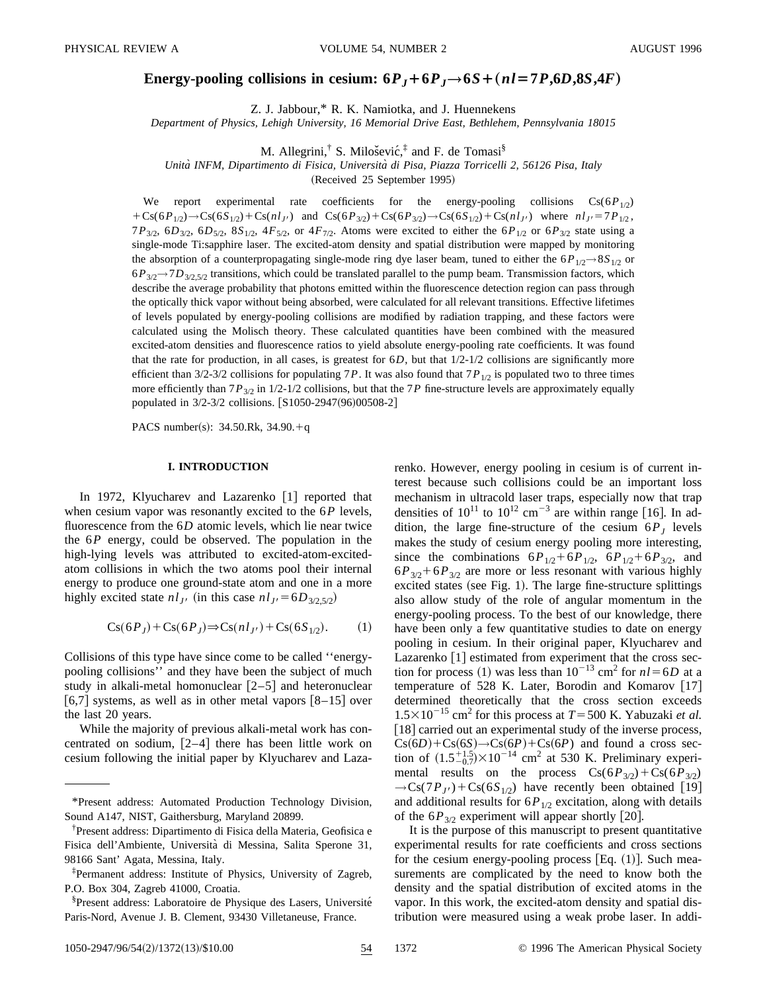# **Energy-pooling collisions in cesium:**  $6P_J + 6P_J \rightarrow 6S + (nl = 7P, 6D, 8S, 4F)$

Z. J. Jabbour,\* R. K. Namiotka, and J. Huennekens

*Department of Physics, Lehigh University, 16 Memorial Drive East, Bethlehem, Pennsylvania 18015*

M. Allegrini,<sup>†</sup> S. Milošević,<sup>‡</sup> and F. de Tomasi<sup>§</sup>

*Unita` INFM, Dipartimento di Fisica, Universita` di Pisa, Piazza Torricelli 2, 56126 Pisa, Italy*

(Received 25 September 1995)

We report experimental rate coefficients for the energy-pooling collisions  $Cs(6P_{1/2})$  $+Cs(6P_{1/2})\rightarrow Cs(6S_{1/2})+Cs(nl_{J'})$  and  $Cs(6P_{3/2})+Cs(6P_{3/2})\rightarrow Cs(6S_{1/2})+Cs(nl_{J'})$  where  $nl_{J'}=7P_{1/2}$ , 7*P*3/2, 6*D*3/2, 6*D*5/2, 8*S*1/2, 4*F*5/2, or 4*F*7/2. Atoms were excited to either the 6*P*1/2 or 6*P*3/2 state using a single-mode Ti:sapphire laser. The excited-atom density and spatial distribution were mapped by monitoring the absorption of a counterpropagating single-mode ring dye laser beam, tuned to either the  $6P_{1/2}$   $\rightarrow$ 8 $S_{1/2}$  or  $6P_{3/2}$   $\rightarrow$  7*D*<sub>3/2</sub> s<sub>12</sub> transitions, which could be translated parallel to the pump beam. Transmission factors, which describe the average probability that photons emitted within the fluorescence detection region can pass through the optically thick vapor without being absorbed, were calculated for all relevant transitions. Effective lifetimes of levels populated by energy-pooling collisions are modified by radiation trapping, and these factors were calculated using the Molisch theory. These calculated quantities have been combined with the measured excited-atom densities and fluorescence ratios to yield absolute energy-pooling rate coefficients. It was found that the rate for production, in all cases, is greatest for  $6D$ , but that  $1/2$ - $1/2$  collisions are significantly more efficient than  $3/2-3/2$  collisions for populating 7*P*. It was also found that  $7P_{1/2}$  is populated two to three times more efficiently than  $7P_{3/2}$  in  $1/2$ -1/2 collisions, but that the  $7P$  fine-structure levels are approximately equally populated in 3/2-3/2 collisions. [S1050-2947(96)00508-2]

PACS number(s):  $34.50$ .Rk,  $34.90.+q$ 

## **I. INTRODUCTION**

In 1972, Klyucharev and Lazarenko  $\lceil 1 \rceil$  reported that when cesium vapor was resonantly excited to the 6*P* levels, fluorescence from the 6*D* atomic levels, which lie near twice the 6*P* energy, could be observed. The population in the high-lying levels was attributed to excited-atom-excitedatom collisions in which the two atoms pool their internal energy to produce one ground-state atom and one in a more highly excited state  $nl_{J'}$  (in this case  $nl_{J'} = 6D_{3/2,5/2}$ )

$$
Cs(6PJ) + Cs(6PJ) \Rightarrow Cs(nlJ') + Cs(6S1/2). \tag{1}
$$

Collisions of this type have since come to be called ''energypooling collisions'' and they have been the subject of much study in alkali-metal homonuclear  $|2-5|$  and heteronuclear  $[6,7]$  systems, as well as in other metal vapors  $[8-15]$  over the last 20 years.

While the majority of previous alkali-metal work has concentrated on sodium,  $[2-4]$  there has been little work on cesium following the initial paper by Klyucharev and Lazarenko. However, energy pooling in cesium is of current interest because such collisions could be an important loss mechanism in ultracold laser traps, especially now that trap densities of  $10^{11}$  to  $10^{12}$  cm<sup>-3</sup> are within range [16]. In addition, the large fine-structure of the cesium  $6P<sub>I</sub>$  levels makes the study of cesium energy pooling more interesting, since the combinations  $6P_{1/2}+6P_{1/2}$ ,  $6P_{1/2}+6P_{3/2}$ , and  $6P_{3/2}$ + $6P_{3/2}$  are more or less resonant with various highly excited states (see Fig. 1). The large fine-structure splittings also allow study of the role of angular momentum in the energy-pooling process. To the best of our knowledge, there have been only a few quantitative studies to date on energy pooling in cesium. In their original paper, Klyucharev and Lazarenko  $[1]$  estimated from experiment that the cross section for process (1) was less than  $10^{-13}$  cm<sup>2</sup> for  $nl = 6D$  at a temperature of 528 K. Later, Borodin and Komarov  $[17]$ determined theoretically that the cross section exceeds  $1.5 \times 10^{-15}$  cm<sup>2</sup> for this process at  $T = 500$  K. Yabuzaki *et al.* [18] carried out an experimental study of the inverse process,  $Cs(6D)+Cs(6S) \rightarrow Cs(6P)+Cs(6P)$  and found a cross section of  $(1.5^{+1.5}_{-0.7}) \times 10^{-14}$  cm<sup>2</sup> at 530 K. Preliminary experimental results on the process  $Cs(6P_{3/2})+Cs(6P_{3/2})$  $\rightarrow$ Cs(7*P<sub>J'</sub>*) + Cs(6*S*<sub>1/2</sub>) have recently been obtained [19] and additional results for  $6P_{1/2}$  excitation, along with details of the  $6P_{3/2}$  experiment will appear shortly [20].

It is the purpose of this manuscript to present quantitative experimental results for rate coefficients and cross sections for the cesium energy-pooling process  $[Eq. (1)]$ . Such measurements are complicated by the need to know both the density and the spatial distribution of excited atoms in the vapor. In this work, the excited-atom density and spatial distribution were measured using a weak probe laser. In addi-

<sup>\*</sup>Present address: Automated Production Technology Division, Sound A147, NIST, Gaithersburg, Maryland 20899.

<sup>†</sup> Present address: Dipartimento di Fisica della Materia, Geofisica e Fisica dell'Ambiente, Universita` di Messina, Salita Sperone 31, 98166 Sant' Agata, Messina, Italy.

<sup>‡</sup> Permanent address: Institute of Physics, University of Zagreb, P.O. Box 304, Zagreb 41000, Croatia.

<sup>§</sup>Present address: Laboratoire de Physique des Lasers, Université Paris-Nord, Avenue J. B. Clement, 93430 Villetaneuse, France.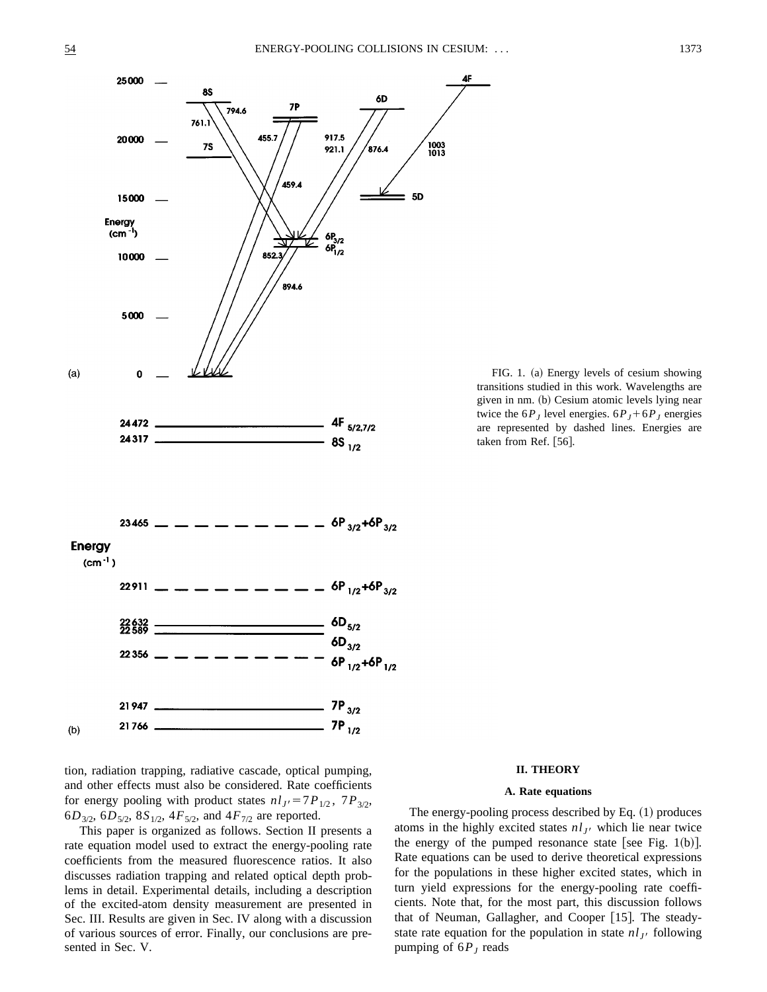

tion, radiation trapping, radiative cascade, optical pumping, and other effects must also be considered. Rate coefficients for energy pooling with product states  $nl_{J} = 7P_{1/2}$ ,  $7P_{3/2}$ ,  $6D_{3/2}$ ,  $6D_{5/2}$ ,  $8S_{1/2}$ ,  $4F_{5/2}$ , and  $4F_{7/2}$  are reported.

This paper is organized as follows. Section II presents a rate equation model used to extract the energy-pooling rate coefficients from the measured fluorescence ratios. It also discusses radiation trapping and related optical depth problems in detail. Experimental details, including a description of the excited-atom density measurement are presented in Sec. III. Results are given in Sec. IV along with a discussion of various sources of error. Finally, our conclusions are presented in Sec. V.

FIG. 1. (a) Energy levels of cesium showing transitions studied in this work. Wavelengths are given in nm. (b) Cesium atomic levels lying near twice the  $6P_J$  level energies.  $6P_J + 6P_J$  energies are represented by dashed lines. Energies are taken from Ref.  $[56]$ .

#### **II. THEORY**

# **A. Rate equations**

The energy-pooling process described by Eq.  $(1)$  produces atoms in the highly excited states  $n l_J$  which lie near twice the energy of the pumped resonance state [see Fig. 1(b)]. Rate equations can be used to derive theoretical expressions for the populations in these higher excited states, which in turn yield expressions for the energy-pooling rate coefficients. Note that, for the most part, this discussion follows that of Neuman, Gallagher, and Cooper  $[15]$ . The steadystate rate equation for the population in state  $n l_J$  following pumping of  $6P_J$  reads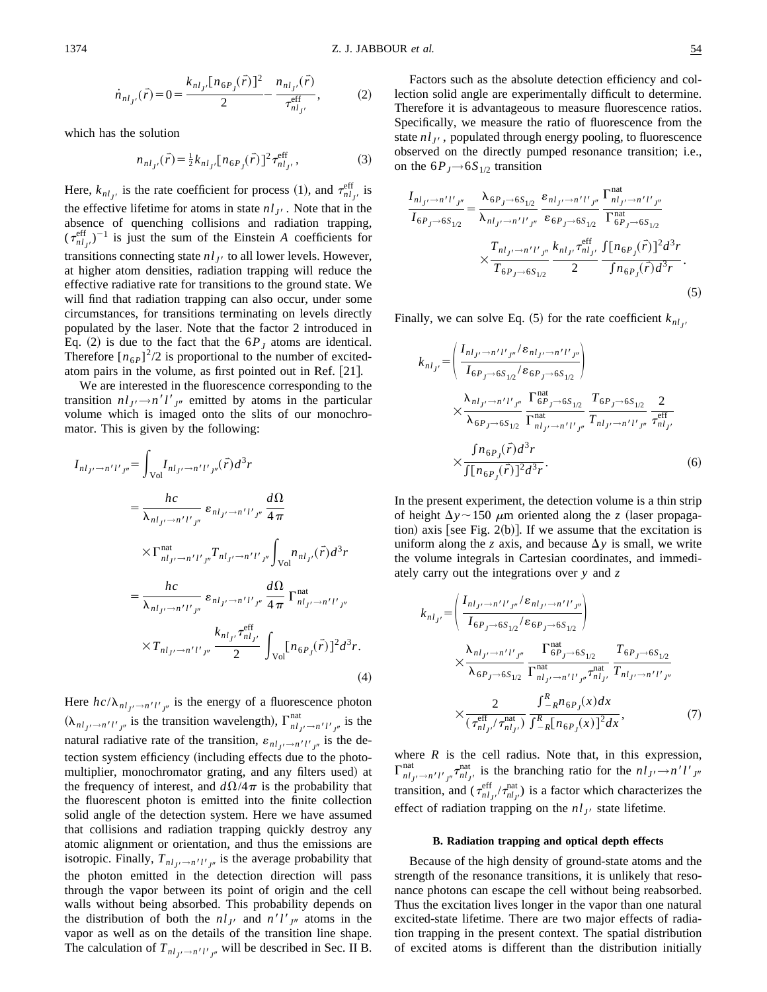$$
\dot{n}_{nl_{J'}}(\vec{r}) = 0 = \frac{k_{nl_{J'}}[n_{6P_J}(\vec{r})]^2}{2} - \frac{n_{nl_{J'}}(\vec{r})}{\tau_{nl_{J'}}^{\text{eff}}},\tag{2}
$$

which has the solution

$$
n_{nl_{J'}}(\vec{r}) = \frac{1}{2} k_{nl_{J'}} [n_{6P_J}(\vec{r})]^2 \tau_{nl_{J'}}^{\text{eff}}, \qquad (3)
$$

Here,  $k_{nl_{J'}}$  is the rate coefficient for process (1), and  $\tau_{nl_{J'}}^{\text{eff}}$  is the effective lifetime for atoms in state  $n l_{J}$ . Note that in the absence of quenching collisions and radiation trapping,  $(\tau_{nl_{J'}}^{\text{eff}})^{-1}$  is just the sum of the Einstein *A* coefficients for transitions connecting state  $nl_{J}$  to all lower levels. However, at higher atom densities, radiation trapping will reduce the effective radiative rate for transitions to the ground state. We will find that radiation trapping can also occur, under some circumstances, for transitions terminating on levels directly populated by the laser. Note that the factor 2 introduced in Eq. (2) is due to the fact that the  $6P_J$  atoms are identical. Therefore  $\left[n_{6P}\right]^2/2$  is proportional to the number of excitedatom pairs in the volume, as first pointed out in Ref. [21].

We are interested in the fluorescence corresponding to the transition  $n l_J \rightarrow n' l'_{J''}$  emitted by atoms in the particular volume which is imaged onto the slits of our monochromator. This is given by the following:

$$
I_{nl_{J'} \to n'l'_{J''}} = \int_{\text{Vol}} I_{nl_{J'} \to n'l'_{J''}}(\vec{r}) d^3r
$$
  
\n
$$
= \frac{hc}{\lambda_{nl_{J'} \to n'l'_{J''}}} \varepsilon_{nl_{J'} \to n'l'_{J''}} \frac{d\Omega}{4\pi}
$$
  
\n
$$
\times \Gamma_{nl_{J'} \to n'l'_{J''}}^{\text{nat}} T_{nl_{J'} \to n'l'_{J''}} \int_{\text{Vol}} n_{nl_{J'}}(\vec{r}) d^3r
$$
  
\n
$$
= \frac{hc}{\lambda_{nl_{J'} \to n'l'_{J''}}} \varepsilon_{nl_{J'} \to n'l'_{J''}} \frac{d\Omega}{4\pi} \Gamma_{nl_{J'} \to n'l'_{J''}}^{\text{nat}}
$$
  
\n
$$
\times T_{nl_{J'} \to n'l'_{J''}} \frac{k_{nl_{J'}} \tau_{nl_{J'}}^{\text{eff}}}{2} \int_{\text{Vol}} [n_{6P_{J}}(\vec{r})]^2 d^3r.
$$
  
\n(4)

Here  $hc/\lambda_{nl_{J'}\rightarrow n'l'_{J''}}$  is the energy of a fluorescence photon  $(\lambda_{nl_{J'}\rightarrow n'l'_{J''}})$  is the transition wavelength),  $\Gamma_{nl_{J'}\rightarrow n'l'_{J''}}^{nat}$  is the natural radiative rate of the transition,  $\varepsilon_{nl_{J'} \to n'l'_{J''}}$  is the detection system efficiency (including effects due to the photomultiplier, monochromator grating, and any filters used) at the frequency of interest, and  $d\Omega/4\pi$  is the probability that the fluorescent photon is emitted into the finite collection solid angle of the detection system. Here we have assumed that collisions and radiation trapping quickly destroy any atomic alignment or orientation, and thus the emissions are isotropic. Finally,  $T_{nl_J/ \rightarrow n'l'_{J''}}$  is the average probability that the photon emitted in the detection direction will pass through the vapor between its point of origin and the cell walls without being absorbed. This probability depends on the distribution of both the  $nl_{J}$  and  $n'l'_{J''}$  atoms in the vapor as well as on the details of the transition line shape. The calculation of  $T_{nl_J/ \rightarrow n'l'_{J''}}$  will be described in Sec. II B.

Factors such as the absolute detection efficiency and collection solid angle are experimentally difficult to determine. Therefore it is advantageous to measure fluorescence ratios. Specifically, we measure the ratio of fluorescence from the state  $n l_{J}$ , populated through energy pooling, to fluorescence observed on the directly pumped resonance transition; i.e., on the  $6P_J \rightarrow 6S_{1/2}$  transition

$$
\frac{I_{nl_{J'} \to n'l'J''}}{I_{6P_{J} \to 6S_{1/2}}} = \frac{\lambda_{6P_{J} \to 6S_{1/2}}}{\lambda_{nl_{J'} \to n'l'J''}} \frac{\varepsilon_{nl_{J'} \to n'l'J''}}{\varepsilon_{6P_{J} \to 6S_{1/2}}} \frac{\Gamma_{nl_{J'} \to n'l'J''}}{\Gamma_{6P_{J} \to 6S_{1/2}}^{\text{nat}}} \times \frac{T_{nl_{J'} \to n'l'J''}}{T_{6P_{J} \to 6S_{1/2}}} \frac{k_{nl_{J'}} \tau_{nl_{J'}}^{\text{eff}}}{2} \frac{\int [n_{6P_{J}}(\vec{r})]^2 d^3 r}{\int n_{6P_{J}}(\vec{r}) d^3 r}.
$$
\n(5)

Finally, we can solve Eq.  $(5)$  for the rate coefficient  $k_{nl}$ 

$$
k_{nl_{J'}} = \left(\frac{I_{nl_{J'} \to n'l'_{J''}} / \varepsilon_{nl_{J'} \to n'l'_{J''}}}{I_{6P_{J} \to 6S_{1/2}} / \varepsilon_{6P_{J} \to 6S_{1/2}}}\right)
$$
  

$$
\times \frac{\lambda_{nl_{J'} \to n'l'_{J''}}}{\lambda_{6P_{J} \to 6S_{1/2}}} \frac{\Gamma_{6P_{J} \to 6S_{1/2}}}{\Gamma_{nl_{J'} \to n'l'_{J''}}^{nat}} \frac{\Gamma_{6P_{J} \to 6S_{1/2}}}{\Gamma_{nl_{J'} \to n'l'_{J''}}} \frac{2}{\tau_{nl_{J'}}^{\text{eff}}}
$$
  

$$
\times \frac{\int n_{6P_{J}}(\vec{r}) d^3 r}{\int [n_{6P_{J}}(\vec{r})]^{2} d^3 r}.
$$
 (6)

In the present experiment, the detection volume is a thin strip of height  $\Delta y \sim 150 \mu m$  oriented along the *z* (laser propagation) axis [see Fig. 2(b)]. If we assume that the excitation is uniform along the *z* axis, and because  $\Delta y$  is small, we write the volume integrals in Cartesian coordinates, and immediately carry out the integrations over *y* and *z*

$$
k_{nl_{J'}} = \left(\frac{I_{nl_{J'} \to n'l'_{J''}} / \varepsilon_{nl_{J'} \to n'l'_{J''}}}{I_{6P_{J} \to 6S_{1/2}} / \varepsilon_{6P_{J} \to 6S_{1/2}}}\right)
$$
  

$$
\times \frac{\lambda_{nl_{J'} \to n'l'_{J''}}}{\lambda_{6P_{J} \to 6S_{1/2}}} \frac{\Gamma_{6P_{J} \to 6S_{1/2}}^{\text{nat}}}{\Gamma_{nl_{J'} \to n'l'_{J''}}^{\text{nat}}} \frac{T_{6P_{J} \to 6S_{1/2}}}{T_{nl_{J'} \to n'l'_{J''}}}
$$
  

$$
\times \frac{2}{(\tau_{nl_{J'}}^{\text{eff}} / \tau_{nl_{J'}}^{\text{nat}})} \frac{\int_{-R}^{R} n_{6P_{J}}(x) dx}{\int_{-R}^{R} [n_{6P_{J}}(x)]^{2} dx}, \tag{7}
$$

where  $R$  is the cell radius. Note that, in this expression,  $\int_{nl_{J'}}^{nat} \frac{1}{n!_{J'}}$   $\int_{nl_{J'}}^{nat}$  is the branching ratio for the  $nl_{J'} \rightarrow n'l'_{J''}$ transition, and  $(\tau_{nl_{J'}}^{eff}/\tau_{nl_{J'}}^{nat})$  is a factor which characterizes the effect of radiation trapping on the  $n l_{J}$  state lifetime.

#### **B. Radiation trapping and optical depth effects**

Because of the high density of ground-state atoms and the strength of the resonance transitions, it is unlikely that resonance photons can escape the cell without being reabsorbed. Thus the excitation lives longer in the vapor than one natural excited-state lifetime. There are two major effects of radiation trapping in the present context. The spatial distribution of excited atoms is different than the distribution initially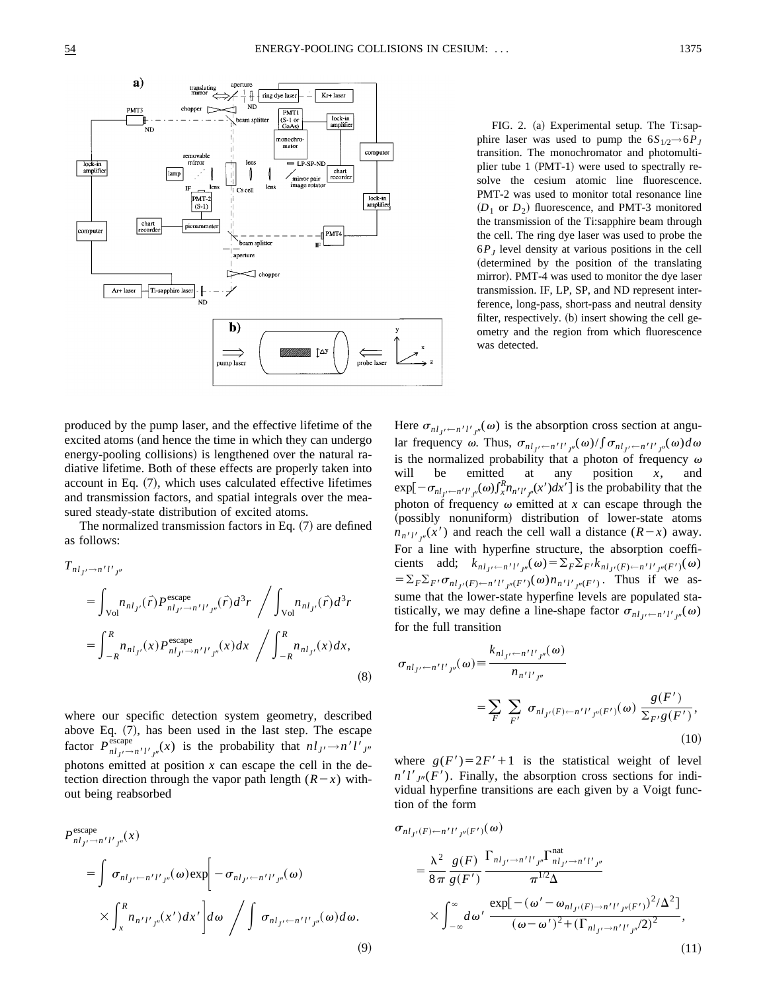

FIG. 2. (a) Experimental setup. The Ti:sapphire laser was used to pump the  $6S_{1/2}$   $\rightarrow$   $6P_J$ transition. The monochromator and photomultiplier tube 1  $(PMT-1)$  were used to spectrally resolve the cesium atomic line fluorescence. PMT-2 was used to monitor total resonance line  $(D_1 \text{ or } D_2)$  fluorescence, and PMT-3 monitored the transmission of the Ti:sapphire beam through the cell. The ring dye laser was used to probe the  $6P<sub>I</sub>$  level density at various positions in the cell (determined by the position of the translating mirror). PMT-4 was used to monitor the dye laser transmission. IF, LP, SP, and ND represent interference, long-pass, short-pass and neutral density filter, respectively.  $(b)$  insert showing the cell geometry and the region from which fluorescence was detected.

produced by the pump laser, and the effective lifetime of the excited atoms (and hence the time in which they can undergo energy-pooling collisions) is lengthened over the natural radiative lifetime. Both of these effects are properly taken into account in Eq.  $(7)$ , which uses calculated effective lifetimes and transmission factors, and spatial integrals over the measured steady-state distribution of excited atoms.

The normalized transmission factors in Eq.  $(7)$  are defined as follows:

$$
T_{n l_{J'} \to n' l'_{J''}} = \int_{\text{Vol}} n_{n l_{J'}}(\vec{r}) P_{n l_{J'} \to n' l'_{J''}}^{\text{escape}}(\vec{r}) d^3 r \left/ \int_{\text{Vol}} n_{n l_{J'}}(\vec{r}) d^3 r \right. \\
= \int_{-R}^{R} n_{n l_{J'}}(x) P_{n l_{J'} \to n' l'_{J''}}^{\text{escape}}(x) dx \left/ \int_{-R}^{R} n_{n l_{J'}}(x) dx, \tag{8}
$$

where our specific detection system geometry, described above Eq.  $(7)$ , has been used in the last step. The escape factor  $P_{nl_J/2}^{\text{escape}}(x)$  is the probability that  $nl_{J'} \rightarrow n'l'_{J''}$ photons emitted at position *x* can escape the cell in the detection direction through the vapor path length  $(R-x)$  without being reabsorbed

$$
P_{nl_{J'}\to n'l'J''}^{\text{escape}}(x)
$$
\n
$$
= \int \sigma_{nl_{J'}\leftarrow n'l'J''}(x) \exp\left[-\sigma_{nl_{J'}\leftarrow n'l'J''}(x)\right] \times \int_{x}^{R} n_{n'l'J''}(x') dx' \right] d\omega \bigg/ \int \sigma_{nl_{J'}\leftarrow n'l'J''}(x) d\omega. \tag{9}
$$

Here  $\sigma_{nl_{J'} \leftarrow n'l'_{J''}}(\omega)$  is the absorption cross section at angular frequency  $\omega$ . Thus,  $\sigma_{nl_{J'} \leftarrow n'l'_{J''}}(\omega) / \int \sigma_{nl_{J'} \leftarrow n'l'_{J''}}(\omega) d\omega$ is the normalized probability that a photon of frequency  $\omega$ will be emitted at any position *x*, and  $\exp[-\sigma_{nl_{J'} \leftarrow n'l'_{J''}}(\omega) \int_{x}^{R} n_{n'l'_{J''}}(x') dx']$  is the probability that the photon of frequency  $\omega$  emitted at *x* can escape through the (possibly nonuniform) distribution of lower-state atoms  $n_{n'l'j''}(x')$  and reach the cell wall a distance  $(R-x)$  away. For a line with hyperfine structure, the absorption coefficients add;  $k_{nl_{J'} \leftarrow n'l'_{J''}}(\omega) = \sum_{F} \sum_{F'} k_{nl_{J'}(F) \leftarrow n'l'_{J''}(F')}(\omega)$  $= \sum_{F} \sum_{F'} \sigma_{n l_{J'}(F) \leftarrow n' l'_{J''}(F')}(\omega) n_{n' l'_{J''}(F')}$ . Thus if we assume that the lower-state hyperfine levels are populated statistically, we may define a line-shape factor  $\sigma_{nl_{J'} \leftarrow n'l'_{J''}}(\omega)$ for the full transition

$$
\sigma_{nl_{J'} \leftarrow n'l'_{J''}}(\omega) \equiv \frac{k_{nl_{J'} \leftarrow n'l'_{J''}}(\omega)}{n_{n'l'_{J''}}}
$$
\n
$$
= \sum_{F} \sum_{F'} \sigma_{nl_{J'}(F) \leftarrow n'l'_{J''}(F')}(\omega) \frac{g(F')}{\sum_{F'} g(F')},
$$
\n(10)

where  $g(F') = 2F' + 1$  is the statistical weight of level  $n'l'_{J''}(F')$ . Finally, the absorption cross sections for individual hyperfine transitions are each given by a Voigt function of the form

$$
\sigma_{nl_{J'}(F) \leftarrow n'l'_{J''}(F')}(\omega)
$$
\n
$$
= \frac{\lambda^2}{8\pi} \frac{g(F)}{g(F')} \frac{\Gamma_{nl_{J'} \rightarrow n'l'_{J''}} \Gamma_{nl_{J'} \rightarrow n'l'_{J''}}^{\text{nat}}}{\pi^{1/2} \Delta}
$$
\n
$$
\times \int_{-\infty}^{\infty} d\omega' \frac{\exp[-(\omega' - \omega_{nl_{J'}(F) \rightarrow n'l'_{J''}(F'))^2/\Delta^2]}{(\omega - \omega')^2 + (\Gamma_{nl_{J'} \rightarrow n'l'_{J''}}/2)^2},
$$
\n(11)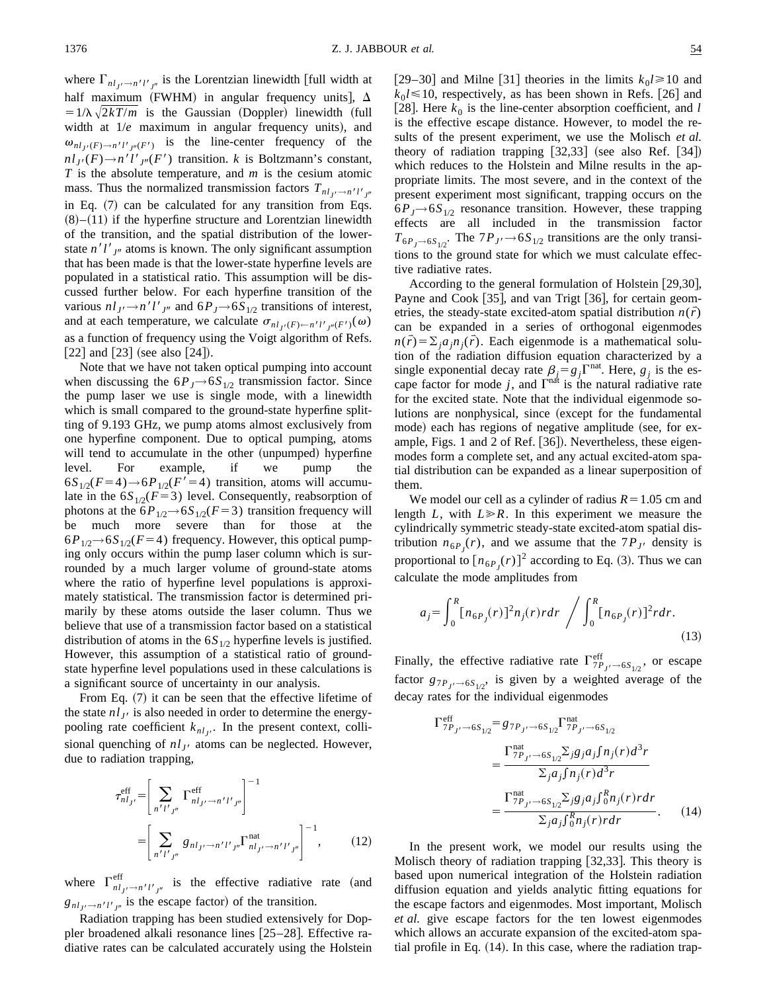where  $\Gamma_{nl_J/2}$  is the Lorentzian linewidth [full width at half maximum (FWHM) in angular frequency units],  $\Delta$  $=1/\lambda \sqrt{2kT/m}$  is the Gaussian (Doppler) linewidth (full width at  $1/e$  maximum in angular frequency units), and  $\omega_{nl_{J'}(F) \to n'l'_{J''}(F')}$  is the line-center frequency of the  $n l_{J'}(F) \rightarrow n' l'_{J''}(F')$  transition. *k* is Boltzmann's constant, *T* is the absolute temperature, and *m* is the cesium atomic mass. Thus the normalized transmission factors  $T_{nl_{J'} \to n'l'_{J''}}$ in Eq.  $(7)$  can be calculated for any transition from Eqs.  $(8)–(11)$  if the hyperfine structure and Lorentzian linewidth of the transition, and the spatial distribution of the lowerstate  $n'l'_{J''}$  atoms is known. The only significant assumption that has been made is that the lower-state hyperfine levels are populated in a statistical ratio. This assumption will be discussed further below. For each hyperfine transition of the various  $nl_{J} \rightarrow n'l'_{J''}$  and  $6P_{J} \rightarrow 6S_{1/2}$  transitions of interest, and at each temperature, we calculate  $\sigma_{nl_{J'}(F) \leftarrow n'l'_{J''}(F')}(\omega)$ as a function of frequency using the Voigt algorithm of Refs.  $\lceil 22 \rceil$  and  $\lceil 23 \rceil$  (see also  $\lceil 24 \rceil$ ).

Note that we have not taken optical pumping into account when discussing the  $6P_J \rightarrow 6S_{1/2}$  transmission factor. Since the pump laser we use is single mode, with a linewidth which is small compared to the ground-state hyperfine splitting of 9.193 GHz, we pump atoms almost exclusively from one hyperfine component. Due to optical pumping, atoms will tend to accumulate in the other (unpumped) hyperfine level. For example, if we pump the  $6S_{1/2}(F=4) \rightarrow 6P_{1/2}(F'=4)$  transition, atoms will accumulate in the  $6S_{1/2}(F=3)$  level. Consequently, reabsorption of photons at the  $6P_{1/2}$  $\rightarrow 6S_{1/2}(F=3)$  transition frequency will<br>be much more severe than for those at the be much more severe than for those at the  $6P_{1/2}$   $\rightarrow$   $6S_{1/2}$ ( $F=4$ ) frequency. However, this optical pumping only occurs within the pump laser column which is surrounded by a much larger volume of ground-state atoms where the ratio of hyperfine level populations is approximately statistical. The transmission factor is determined primarily by these atoms outside the laser column. Thus we believe that use of a transmission factor based on a statistical distribution of atoms in the  $6S_{1/2}$  hyperfine levels is justified. However, this assumption of a statistical ratio of groundstate hyperfine level populations used in these calculations is a significant source of uncertainty in our analysis.

From Eq.  $(7)$  it can be seen that the effective lifetime of the state  $n l_{J}$  is also needed in order to determine the energypooling rate coefficient  $k_{nl_j}$ . In the present context, collisional quenching of  $nl_{J}$  atoms can be neglected. However, due to radiation trapping,

$$
\tau_{n l_{J'}}^{\text{eff}} = \left[ \sum_{n' l'_{J''}} \Gamma_{n l_{J'} \to n' l'_{J''}}^{\text{eff}} \right]^{-1}
$$

$$
= \left[ \sum_{n' l'_{J''}} g_{n l_{J'} \to n' l'_{J''}} \Gamma_{n l_{J'} \to n' l'_{J''}}^{\text{nat}} \right]^{-1}, \qquad (12)
$$

where  $\Gamma_{nl_{J'}\rightarrow n'l'_{J''}}^{eff}$  is the effective radiative rate (and  $g_{nl_{J} \rightarrow n'l'_{J''}}$  is the escape factor) of the transition.

Radiation trapping has been studied extensively for Doppler broadened alkali resonance lines [25-28]. Effective radiative rates can be calculated accurately using the Holstein  $[29–30]$  and Milne [31] theories in the limits  $k_0 \ge 10$  and  $k_0$ *l* $\leq$  10, respectively, as has been shown in Refs. [26] and [28]. Here  $k_0$  is the line-center absorption coefficient, and *l* is the effective escape distance. However, to model the results of the present experiment, we use the Molisch *et al.* theory of radiation trapping  $[32,33]$  (see also Ref.  $[34]$ ) which reduces to the Holstein and Milne results in the appropriate limits. The most severe, and in the context of the present experiment most significant, trapping occurs on the  $6P_J \rightarrow 6S_{1/2}$  resonance transition. However, these trapping effects are all included in the transmission factor  $T_{6P_J \to 6S_{1/2}}$ . The  $7P_{J} \to 6S_{1/2}$  transitions are the only transitions to the ground state for which we must calculate effective radiative rates.

According to the general formulation of Holstein  $[29,30]$ , Payne and Cook [35], and van Trigt [36], for certain geometries, the steady-state excited-atom spatial distribution  $n(\bar{r})$ can be expanded in a series of orthogonal eigenmodes  $n(\vec{r}) = \sum_{i} a_{i} n_{i}(\vec{r})$ . Each eigenmode is a mathematical solution of the radiation diffusion equation characterized by a single exponential decay rate  $\beta_j = g_j \Gamma^{nat}$ . Here,  $g_j$  is the escape factor for mode  $j$ , and  $\Gamma^{nat}$  is the natural radiative rate for the excited state. Note that the individual eigenmode solutions are nonphysical, since (except for the fundamental mode) each has regions of negative amplitude (see, for example, Figs. 1 and 2 of Ref.  $[36]$ . Nevertheless, these eigenmodes form a complete set, and any actual excited-atom spatial distribution can be expanded as a linear superposition of them.

We model our cell as a cylinder of radius  $R=1.05$  cm and length *L*, with  $L \ge R$ . In this experiment we measure the cylindrically symmetric steady-state excited-atom spatial distribution  $n_{6P_J}(r)$ , and we assume that the  $7P_{J'}$  density is proportional to  $[n_{6P_J}(r)]^2$  according to Eq. (3). Thus we can calculate the mode amplitudes from

$$
a_j = \int_0^R [n_{6P_j}(r)]^2 n_j(r) r dr \bigg/ \int_0^R [n_{6P_j}(r)]^2 r dr. \tag{13}
$$

Finally, the effective radiative rate  $\Gamma_{7P_{J'}}^{\text{eff}}$  or escape factor  $g_{7P_J \rightarrow 6S_{1/2}}$ , is given by a weighted average of the decay rates for the individual eigenmodes

$$
\Gamma_{7P_{J'} \to 6S_{1/2}}^{\text{eff}} = g_{7P_{J'} \to 6S_{1/2}} \Gamma_{7P_{J'} \to 6S_{1/2}}^{\text{nat}} \n= \frac{\Gamma_{7P_{J'} \to 6S_{1/2}}^{\text{nat}} \Sigma_j g_j a_j f n_j(r) d^3 r}{\Sigma_j a_j f n_j(r) d^3 r} \n= \frac{\Gamma_{7P_{J'} \to 6S_{1/2}}^{\text{nat}} \Sigma_j g_j a_j f_0^R n_j(r) r dr}{\Sigma_j a_j f_0^R n_j(r) r dr}.
$$
\n(14)

In the present work, we model our results using the Molisch theory of radiation trapping  $[32,33]$ . This theory is based upon numerical integration of the Holstein radiation diffusion equation and yields analytic fitting equations for the escape factors and eigenmodes. Most important, Molisch *et al.* give escape factors for the ten lowest eigenmodes which allows an accurate expansion of the excited-atom spatial profile in Eq.  $(14)$ . In this case, where the radiation trap-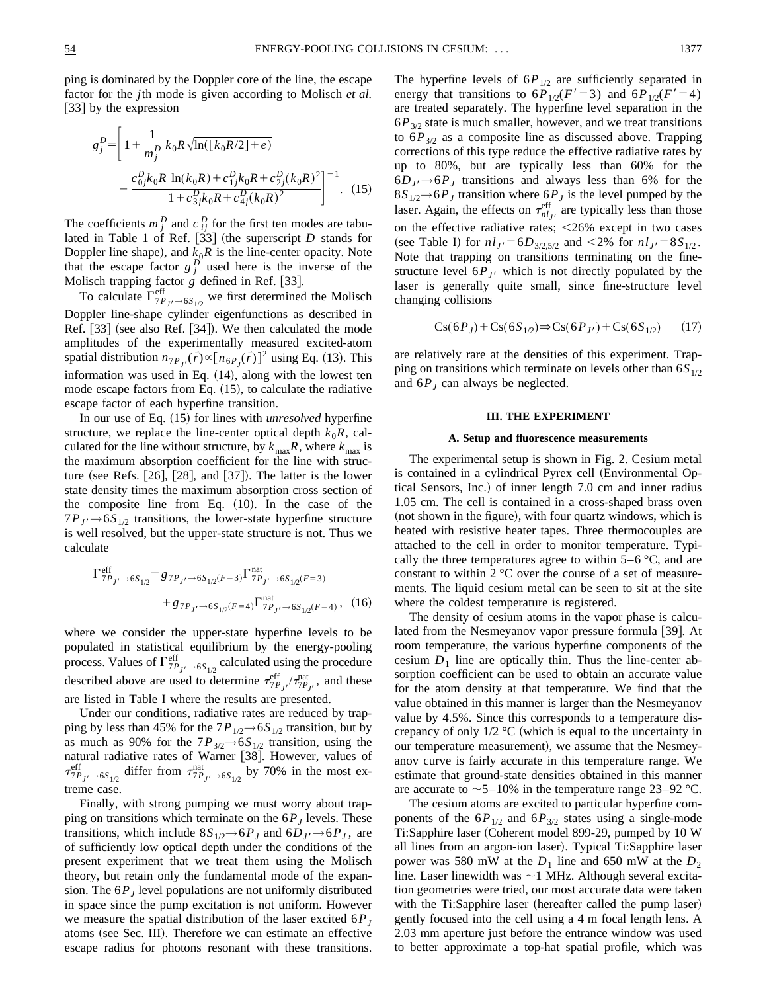$$
g_j^D = \left[ 1 + \frac{1}{m_j^D} k_0 R \sqrt{\ln([k_0 R/2] + e)} - \frac{c_{0j}^D k_0 R \ln(k_0 R) + c_{1j}^D k_0 R + c_{2j}^D (k_0 R)^2}{1 + c_{3j}^D k_0 R + c_{4j}^D (k_0 R)^2} \right]^{-1}.
$$
 (15)

The coefficients  $m_j^D$  and  $c_{ij}^D$  for the first ten modes are tabulated in Table 1 of Ref.  $[33]$  (the superscript *D* stands for Doppler line shape), and  $k_0R$  is the line-center opacity. Note that the escape factor  $g_j^D$  used here is the inverse of the Molisch trapping factor  $g$  defined in Ref. [33].

To calculate  $\Gamma_{7P_J/\rightarrow 6S_{1/2}}^{eff}$  we first determined the Molisch Doppler line-shape cylinder eigenfunctions as described in Ref.  $[33]$  (see also Ref.  $[34]$ ). We then calculated the mode amplitudes of the experimentally measured excited-atom spatial distribution  $n_{7P_J}(\vec{r}) \propto [n_{6P_J}(\vec{r})]^2$  using Eq. (13). This information was used in Eq.  $(14)$ , along with the lowest ten mode escape factors from Eq.  $(15)$ , to calculate the radiative escape factor of each hyperfine transition.

In our use of Eq.  $(15)$  for lines with *unresolved* hyperfine structure, we replace the line-center optical depth  $k_0R$ , calculated for the line without structure, by  $k_{\text{max}}R$ , where  $k_{\text{max}}$  is the maximum absorption coefficient for the line with structure (see Refs.  $\vert 26 \vert$ ,  $\vert 28 \vert$ , and  $\vert 37 \vert$ ). The latter is the lower state density times the maximum absorption cross section of the composite line from Eq.  $(10)$ . In the case of the  $7P_{J}$   $\rightarrow$  6S<sub>1/2</sub> transitions, the lower-state hyperfine structure is well resolved, but the upper-state structure is not. Thus we calculate

$$
\Gamma_{7P_{J'} \to 6S_{1/2}}^{\text{eff}} = g_{7P_{J'} \to 6S_{1/2}(F=3)} \Gamma_{7P_{J'} \to 6S_{1/2}(F=3)}^{\text{nat}} + g_{7P_{J'} \to 6S_{1/2}(F=4)} \Gamma_{7P_{J'} \to 6S_{1/2}(F=4)}^{\text{nat}}, (16)
$$

where we consider the upper-state hyperfine levels to be populated in statistical equilibrium by the energy-pooling process. Values of  $\Gamma_{7P_{J'}}^{\text{eff}} \rightarrow 6S_{1/2}$  calculated using the procedure described above are used to determine  $\tau_{7P_{J'}}^{eff}$ ,  $\tau_{7P_{J'}}^{nat}$ , and these are listed in Table I where the results are presented.

Under our conditions, radiative rates are reduced by trapping by less than 45% for the  $7P_{1/2}$   $\rightarrow$  6 $S_{1/2}$  transition, but by as much as 90% for the  $7P_{3/2}$  $\rightarrow$  6 $S_{1/2}$  transition, using the natural radiative rates of Warner [38]. However, values of  $\tau_{7P_{J'} \to 6S_{1/2}}^{\text{eff}}$  differ from  $\tau_{7P_{J'} \to 6S_{1/2}}^{\text{nat}}$  by 70% in the most extreme case.

Finally, with strong pumping we must worry about trapping on transitions which terminate on the  $6P<sub>J</sub>$  levels. These transitions, which include  $8S_{1/2} \rightarrow 6P_J$  and  $6D_J \rightarrow 6P_J$ , are of sufficiently low optical depth under the conditions of the present experiment that we treat them using the Molisch theory, but retain only the fundamental mode of the expansion. The  $6P<sub>I</sub>$  level populations are not uniformly distributed in space since the pump excitation is not uniform. However we measure the spatial distribution of the laser excited  $6P_J$ atoms (see Sec. III). Therefore we can estimate an effective escape radius for photons resonant with these transitions. The hyperfine levels of  $6P_{1/2}$  are sufficiently separated in energy that transitions to  $6P_{1/2}(F'=3)$  and  $6P_{1/2}(F'=4)$ are treated separately. The hyperfine level separation in the  $6P_{3/2}$  state is much smaller, however, and we treat transitions to  $6P_{3/2}$  as a composite line as discussed above. Trapping corrections of this type reduce the effective radiative rates by up to 80%, but are typically less than 60% for the  $6D_J \rightarrow 6P_J$  transitions and always less than 6% for the  $8S_{1/2}$  + 6*P<sub>J</sub>* transition where 6*P<sub>J</sub>* is the level pumped by the laser. Again, the effects on  $\tau_{nl_{J'}}^{\text{eff}}$  are typically less than those on the effective radiative rates;  $\leq 26\%$  except in two cases (see Table I) for  $n l_J = 6D_{3/2,5/2}$  and <2% for  $n l_{J'} = 8S_{1/2}$ . Note that trapping on transitions terminating on the finestructure level  $6P_{J}$  which is not directly populated by the laser is generally quite small, since fine-structure level changing collisions

$$
Cs(6PJ) + Cs(6S1/2) \Rightarrow Cs(6PJ') + Cs(6S1/2) (17)
$$

are relatively rare at the densities of this experiment. Trapping on transitions which terminate on levels other than  $6S_{1/2}$ and  $6P_J$  can always be neglected.

## **III. THE EXPERIMENT**

#### **A. Setup and fluorescence measurements**

The experimental setup is shown in Fig. 2. Cesium metal is contained in a cylindrical Pyrex cell (Environmental Optical Sensors, Inc.) of inner length 7.0 cm and inner radius 1.05 cm. The cell is contained in a cross-shaped brass oven (not shown in the figure), with four quartz windows, which is heated with resistive heater tapes. Three thermocouples are attached to the cell in order to monitor temperature. Typically the three temperatures agree to within  $5-6$  °C, and are constant to within 2 °C over the course of a set of measurements. The liquid cesium metal can be seen to sit at the site where the coldest temperature is registered.

The density of cesium atoms in the vapor phase is calculated from the Nesmeyanov vapor pressure formula [39]. At room temperature, the various hyperfine components of the cesium  $D_1$  line are optically thin. Thus the line-center absorption coefficient can be used to obtain an accurate value for the atom density at that temperature. We find that the value obtained in this manner is larger than the Nesmeyanov value by 4.5%. Since this corresponds to a temperature discrepancy of only  $1/2$  °C (which is equal to the uncertainty in our temperature measurement), we assume that the Nesmeyanov curve is fairly accurate in this temperature range. We estimate that ground-state densities obtained in this manner are accurate to  $\sim$  5–10% in the temperature range 23–92 °C.

The cesium atoms are excited to particular hyperfine components of the  $6P_{1/2}$  and  $6P_{3/2}$  states using a single-mode Ti:Sapphire laser (Coherent model 899-29, pumped by 10 W all lines from an argon-ion laser). Typical Ti:Sapphire laser power was 580 mW at the  $D_1$  line and 650 mW at the  $D_2$ line. Laser linewidth was  $\sim$ 1 MHz. Although several excitation geometries were tried, our most accurate data were taken with the Ti:Sapphire laser (hereafter called the pump laser) gently focused into the cell usinga4m focal length lens. A 2.03 mm aperture just before the entrance window was used to better approximate a top-hat spatial profile, which was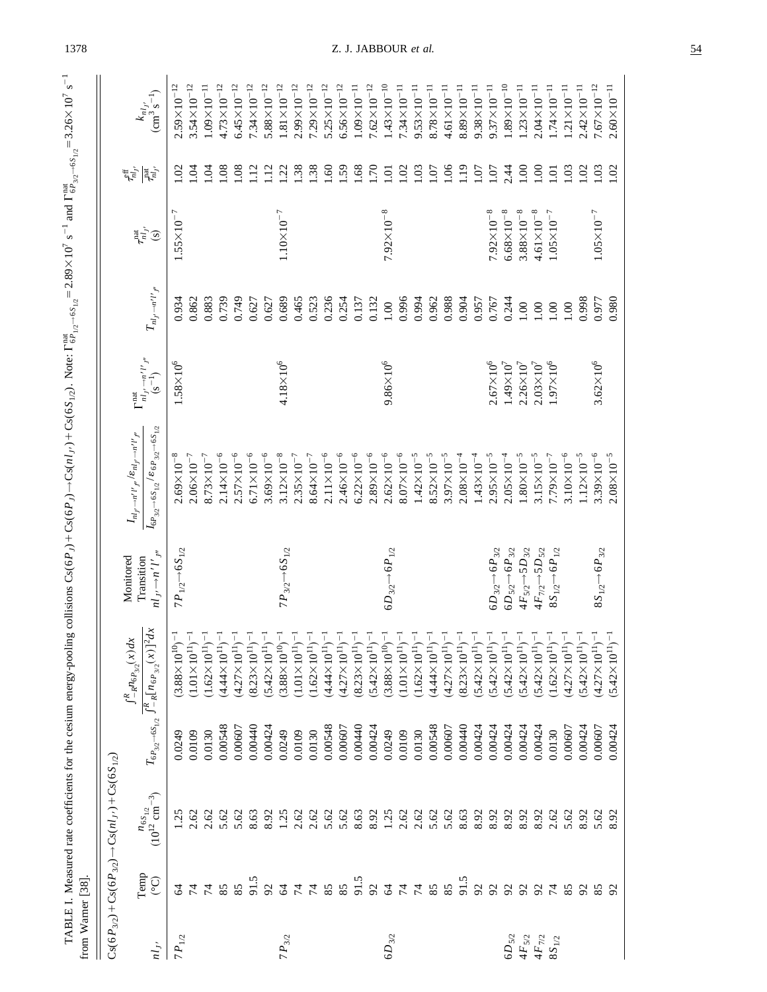| from Warner [38] |                         |                                                                |                                      | TABLE I. Measured rate coefficients for the cesium energy-pooling                      |                                                             | collisions $Cs(6P_1) + Cs(6P_1) \rightarrow Cs(6S_{1/2})$ . Note: $\Gamma_{6P_{1/2} - 6S_{1/2}}^{nat} = 2.89 \times 10^7$ s <sup>-1</sup> and $\Gamma_{6P_{3/2} - 6S_{1/2}}^{nat} = 3.26 \times 10^7$ s <sup>-1</sup> |                                                                                           |                                              |                                         |                                                   |                                                    |
|------------------|-------------------------|----------------------------------------------------------------|--------------------------------------|----------------------------------------------------------------------------------------|-------------------------------------------------------------|-----------------------------------------------------------------------------------------------------------------------------------------------------------------------------------------------------------------------|-------------------------------------------------------------------------------------------|----------------------------------------------|-----------------------------------------|---------------------------------------------------|----------------------------------------------------|
|                  |                         | $Cs(6P_{3/2})+Cs(6P_{3/2}) \rightarrow Cs(n_1) + Cs(6S_{1/2})$ |                                      |                                                                                        |                                                             |                                                                                                                                                                                                                       |                                                                                           |                                              |                                         |                                                   |                                                    |
| $n l_{J'}$       | Temp<br>$\widetilde{C}$ | $n_{6S_{1/2}}$<br>(10 <sup>12</sup> cm <sup>-3</sup> )         | $T_{6P_{3/2}\rightarrow 6S_{1/2}}$ . | $\int_{-\sqrt{R}}^R [n_{\delta P_{3/2}}(x)]^2 dx$<br>$\int_{-R}^{R} n_{6P_{3/2}}(x)dx$ | $nl_{J'} \rightarrow n'l'_{J''}$<br>Monitored<br>Transition | $I_{6P_{3/2}\rightarrow6S_{1/2}}/ \epsilon_{6P_{3/2}\rightarrow6S_{1/2}}$<br>$I_{nl_{J'}\rightarrow n'l'}_{l''}$ / $\varepsilon_{nl_{J'}\rightarrow n'l'}_{l''}$                                                      | $\frac{n_{IJ}\rightarrow n^{\prime}l^{\prime}}{(s^{-1})}$<br>$\Gamma^{\rm nat}_{nl_{J'}}$ | $T_{nl_J \cdots n^\prime l^\prime j^\prime}$ | $\tau_{nl_{J'}}^{\text{nat}}(\text{s})$ | $\tau_{mlj}^{\rm eff}$<br>$\vec{r}_{\vec{\mu}_J}$ | $\frac{k_{nl_{J'}}}{(\text{cm}^3 \text{ s}^{-1})}$ |
| $7P_{1/2}$       | 2                       | 1.25                                                           | 0.0249                               | $(3.88\times10^{10})$                                                                  | $7P_{1/2}$ $\rightarrow$ 6 $S_{1/2}$                        | $2.69\times10^{-8}$                                                                                                                                                                                                   | $1.58 \times 10^{6}$                                                                      | 0.934                                        | $1.55 \times 10^{-7}$                   | S                                                 | $2.59 \times 10^{-12}$                             |
|                  | $\overline{7}$          | 2.62                                                           | 0.0109                               | $(1.01 \times 10^{11})^{-1}$                                                           |                                                             | $2.06\times10^{-7}$                                                                                                                                                                                                   |                                                                                           | 0.862                                        |                                         | ड़                                                | $3.54 \times 10^{-12}$                             |
|                  | 74                      | 2.62                                                           | 0.0130                               | $(1.62 \times 10^{11})^{-1}$                                                           |                                                             | $8.73 \times 10^{-7}$                                                                                                                                                                                                 |                                                                                           | 0.883                                        |                                         | Ş                                                 | $1.09\times10^{-11}$                               |
|                  | 85                      | 5.62                                                           | 0.00548                              | $(4.44 \times 10^{11})^{-1}$                                                           |                                                             | $2.14 \times 10^{-6}$                                                                                                                                                                                                 |                                                                                           | 0.739                                        |                                         | $\overline{0}$                                    | $4.73 \times 10^{-12}$                             |
|                  | 85                      | 5.62                                                           | 0.00607                              | $(4.27 \times 10^{11})^{-1}$                                                           |                                                             | $2.57 \times 10^{-6}$                                                                                                                                                                                                 |                                                                                           | 0.749                                        |                                         | $\frac{80}{1}$                                    | $6.45 \times 10^{-12}$                             |
|                  | 91.5                    | 8.63                                                           | 0.00440                              | $(8.23 \times 10^{11})^{-1}$                                                           |                                                             | $6.71 \times 10^{-6}$                                                                                                                                                                                                 |                                                                                           | 0.627                                        |                                         | $\Xi$                                             | $7.34 \times 10^{-12}$                             |
|                  | $\mathcal{S}$           | 8.92                                                           | 0.00424                              | $(5.42 \times 10^{11})^{-1}$                                                           |                                                             | $3.69\times10^{-6}$                                                                                                                                                                                                   |                                                                                           | 0.627                                        |                                         | $\Xi$                                             | $5.88 \times 10^{-12}$                             |
| $7P_{3/2}$       | $\mathcal{A}$           | 1.25                                                           | 0.0249                               | $(3.88 \times 10^{10})^{-1}$                                                           | $7P_{3/2}$ $\rightarrow$ 6S <sub>1/2</sub>                  | $3.12\times10^{-8}$                                                                                                                                                                                                   | $4.18 \times 10^{6}$                                                                      | 0.689                                        | $1.10\times10^{-7}$                     | $\overline{22}$                                   | $1.81 \times 10^{-12}$                             |
|                  | $\sharp$                | 2.62                                                           | 0.0109                               | $(1.01 \times 10^{11})^{-1}$                                                           |                                                             | $2.35 \times 10^{-7}$                                                                                                                                                                                                 |                                                                                           | 0.465                                        |                                         | 1.38                                              | $2.99\times10^{-12}$                               |
|                  |                         | 2.62                                                           | 0.0130                               | $(1.62 \times 10^{11})^{-1}$                                                           |                                                             | $8.64 \times 10^{-7}$                                                                                                                                                                                                 |                                                                                           | 0.523                                        |                                         | 1.38                                              | $7.29\times10^{-12}$                               |
|                  | 85                      | 5.62                                                           | 0.00548                              | $(4.44 \times 10^{11})^{-1}$                                                           |                                                             | $2.11 \times 10^{-6}$                                                                                                                                                                                                 |                                                                                           | 0.236                                        |                                         | $\overline{.60}$                                  | $5.25 \times 10^{-12}$                             |
|                  | 85                      | 5.62                                                           | 0.00607                              | $(4.27 \times 10^{11})^{-1}$                                                           |                                                             | $2.46\times10^{-6}$                                                                                                                                                                                                   |                                                                                           | 0.254                                        |                                         | .59                                               | $6.56 \times 10^{-12}$                             |
|                  | 91.5                    | 8.63                                                           | 0.00440                              | $(8.23 \times 10^{11})^{-1}$                                                           |                                                             | $6.22 \times 10^{-6}$                                                                                                                                                                                                 |                                                                                           | 0.137                                        |                                         | .68                                               | $1.09\times10^{-11}$                               |
|                  | $\mathfrak{D}$          | 8.92                                                           | 0.00424                              | $(5.42 \times 10^{11})^{-1}$                                                           |                                                             | $2.89\times10^{-6}$                                                                                                                                                                                                   |                                                                                           | 0.132                                        |                                         | 1.70                                              | $7.62 \times 10^{-12}$                             |
| $6D_{3/2}$       | $\mathcal{L}$           | 1.25                                                           | 0.0249                               | $(3.88 \times 10^{10})^{-1}$                                                           | 6 $D_{3/2}$ $\rightarrow$ 6 $P_{1/2}$                       | $2.62 \times 10^{-6}$                                                                                                                                                                                                 | $9.86\times10^{6}$                                                                        | 1.00                                         | $7.92\times10^{-8}$                     | $\overline{101}$                                  | $1.43 \times 10^{-10}$                             |
|                  | $\sharp$                | 2.62                                                           | 0.0109                               | $(1.01 \times 10^{11})^{-1}$                                                           |                                                             | $8.07\times10^{-6}$                                                                                                                                                                                                   |                                                                                           | 0.996                                        |                                         | 1.02                                              | $7.34 \times 10^{-11}$                             |
|                  | 74                      | 2.62                                                           | 0.0130                               | $(1.62 \times 10^{11})^{-1}$                                                           |                                                             | $1.42\times10^{-5}$                                                                                                                                                                                                   |                                                                                           | 0.994                                        |                                         | $\overline{0}$                                    | $9.53 \times 10^{-11}$                             |
|                  | 85                      | 5.62                                                           | 0.00548                              | $(4.44 \times 10^{11})^{-1}$                                                           |                                                             | $8.52 \times 10^{-5}$                                                                                                                                                                                                 |                                                                                           | 0.962                                        |                                         | 1.07                                              | $8.78 \times 10^{-11}$                             |
|                  | 85                      | 5.62                                                           | 0.00607                              | $(4.27 \times 10^{11})^{-1}$                                                           |                                                             | $3.97 \times 10^{-5}$                                                                                                                                                                                                 |                                                                                           | 0.988                                        |                                         | 66                                                | $4.61 \times 10^{-11}$                             |
|                  | 91.5                    | 8.63                                                           | 0.00440                              | $(8.23 \times 10^{11})^{-1}$                                                           |                                                             | $2.08\times10^{-4}$                                                                                                                                                                                                   |                                                                                           | 0.904                                        |                                         | $\frac{1}{2}$                                     | $8.89\times10^{-11}$                               |
|                  | $\mathcal{S}$           | 8.92                                                           | 0.00424                              | $(5.42 \times 10^{11})^{-1}$                                                           |                                                             | $1.43\times10^{-4}$                                                                                                                                                                                                   |                                                                                           | 0.957                                        |                                         | 1.07                                              | $9.38 \times 10^{-11}$                             |
|                  | $\mathfrak{L}$          | 8.92                                                           | 0.00424                              | $(5.42 \times 10^{11})^{-1}$                                                           | $6D_{3/2}$ $\rightarrow$ $6P_{3/2}$                         | $2.95 \times 10^{-5}$                                                                                                                                                                                                 | $2.67\times10^{6}$                                                                        | 0.767                                        | $7.92\times10^{-8}$                     | 1.07                                              | $9.37 \times 10^{-11}$                             |
| $6D_{5/2}$       | $\mathfrak{L}$          | 8.92                                                           | 0.00424                              | $(5.42 \times 10^{11})^{-1}$                                                           | $6D_{5/2}$ $\rightarrow$ $6P_{3/2}$                         | $2.05\times10^{-4}$                                                                                                                                                                                                   | $1.49 \times 10^{7}$                                                                      | 0.244                                        | $6.68\times10^{-8}$                     | 2.44                                              | $1.89 \times 10^{-10}$                             |
| $4F_{5/2}$       | $\mathfrak{L}$          | 8.92                                                           | 0.00424                              | $(5.42 \times 10^{11})^{-1}$                                                           | $4F_{5/2}$ $\rightarrow$ 5 $D_{3/2}$                        | $1.80\times10^{-5}$                                                                                                                                                                                                   | $2.26 \times 10^{7}$                                                                      | 1.00                                         | $3.88\times10^{-8}$                     | 00.1                                              | $1.23\times10^{-11}$                               |
| $4F_{7/2}$       | $\mathfrak{L}$          | 8.92                                                           | 0.00424                              | $(5.42 \times 10^{11})^{-1}$                                                           | $4F_{7/2}$ $\rightarrow$ 5 $D_{5/2}$                        | $3.15 \times 10^{-5}$                                                                                                                                                                                                 | $2.03 \times 10^{7}$                                                                      | 1.00                                         | $4.61 \times 10^{-8}$                   | $\sum_{i=1}^{n}$                                  | $2.04 \times 10^{-11}$                             |
| $8S_{1/2}$       | $\overline{7}$          | 2.62                                                           | 0.0130                               | $(1.62 \times 10^{11})^{-1}$                                                           | 8 $S_{1/2}$ $\rightarrow$ 6 $P_{1/2}$                       | $7.79\times10^{-7}$                                                                                                                                                                                                   | $1.97 \times 10^{6}$                                                                      | 1.00                                         | $1.05 \times 10^{-7}$                   | $\overline{\mathrm{S}}$                           | $1.74 \times 10^{-11}$                             |
|                  | 85                      | 5.62                                                           | 0.00607                              | $(4.27\times10^{11})^{-1}$                                                             |                                                             | $3.10\times10^{-6}$                                                                                                                                                                                                   |                                                                                           | 1.00                                         |                                         | $\approx$                                         | $1.21\times10^{-11}$                               |
|                  | $\mathcal{S}$           | 8.92                                                           | 0.00424                              | $(5.42 \times 10^{11})^{-1}$                                                           |                                                             | $1.12 \times 10^{-5}$                                                                                                                                                                                                 |                                                                                           | 0.998                                        |                                         | $\approx$                                         | $2.42 \times 10^{-11}$                             |
|                  | 85                      | 5.62                                                           | 0.00607                              | $(4.27\times10^{11})^{-1}$                                                             | $8S_{1/2}$ $\rightarrow$ 6 $P_{3/2}$                        | $3.39\times10^{-6}$                                                                                                                                                                                                   | $3.62 \times 10^{6}$                                                                      | 0.977                                        | $1.05 \times 10^{-7}$                   | $\approx$                                         | $7.67\times10^{-12}$                               |
|                  | 92                      | 8.92                                                           | 0.00424                              | $(5.42 \times 10^{11})^{-1}$                                                           |                                                             | $2.08\times10^{-5}$                                                                                                                                                                                                   |                                                                                           | 0.980                                        |                                         | 1.02                                              | $2.60 \times 10^{-11}$                             |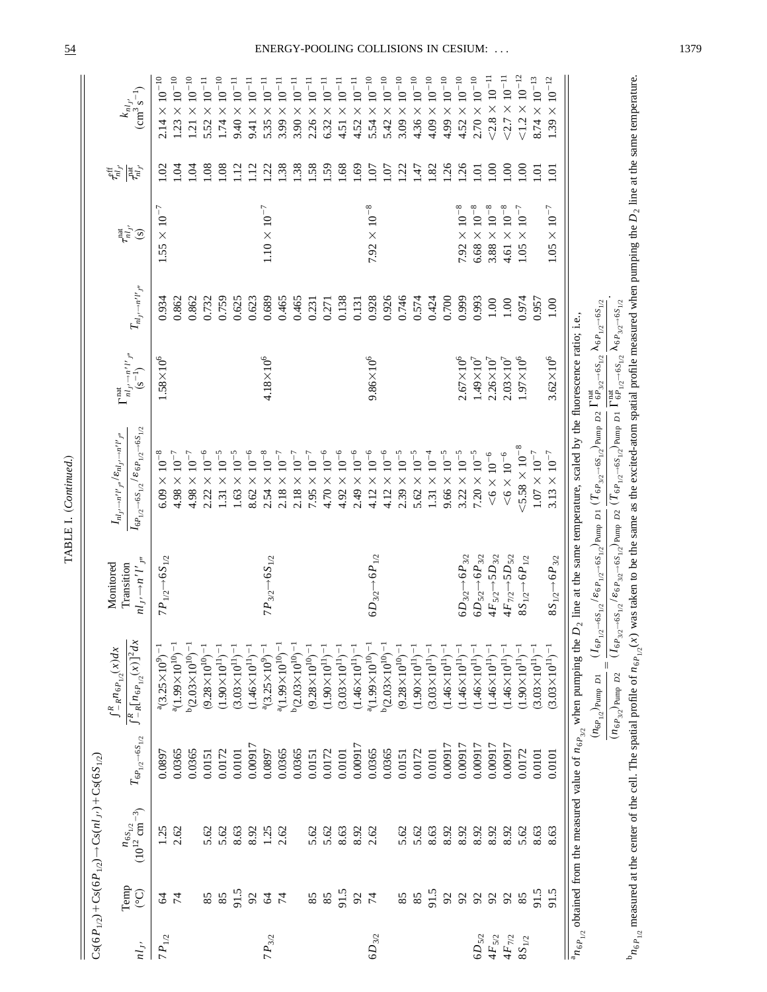|            |                                         | $Cs(6P_{1/2})+Cs(6P_{1/2}) \rightarrow Cs(n1) + Cs(6S_{1/2})$ |                                   |                                                                                                 |                                                |                                                                            |                                                                            |                                                                |                                       |                                 |                                                   |
|------------|-----------------------------------------|---------------------------------------------------------------|-----------------------------------|-------------------------------------------------------------------------------------------------|------------------------------------------------|----------------------------------------------------------------------------|----------------------------------------------------------------------------|----------------------------------------------------------------|---------------------------------------|---------------------------------|---------------------------------------------------|
|            |                                         |                                                               |                                   | $\int_{-R}^{R} n_{6P_{1/2}}(x) dx$                                                              | Monitored                                      | $I_{nl_{f'} \to n'l'}_{p''} / \varepsilon_{nl_{f'} \to n'l'_{p''}}$        | $\Gamma^{\rm nat}$                                                         |                                                                |                                       | $\tau_{nl_{J'}}^{\rm eff}$      |                                                   |
| $n l_{J'}$ | Temp<br>$\bigodot$                      | $n_{6S_{1/2}}$<br>(10 <sup>12</sup> cm <sup>-3</sup> )        | $T_{6P_{1/2}\rightarrow6S_{1/2}}$ | $\int_{-R}^{R} [n_{6P_{1/2}}(x)]^2 dx$                                                          | $nl_{J'} \rightarrow n'l'_{J''}$<br>Transition | $I_{6P_{1/2} \rightarrow 6S_{1/2}}$ / $g_{6P_{1/2} \rightarrow 6S_{1/2}}$  | $n l_J \rightarrow n^{\prime} l^{\prime}$ $j^{\prime\prime}$<br>$(s^{-1})$ | $T_{nl_J \rightarrow n^{\prime} l^{\prime} j^{\prime \prime}}$ | $\tau_{nl_{J'}}^{\rm nat}$<br>$\odot$ | $\overline{r}^{\rm int}_{nl,r}$ | $\binom{k_{nl_{j'}}}{\text{cm}^3 \text{ s}^{-1}}$ |
| $7P_{1/2}$ | 24                                      | 1.25                                                          | 0.0897                            | $a(3.25\times10^{9})^{-1}$                                                                      | $7P_{1/2}$ $\rightarrow$ 6S <sub>1/2</sub>     | $6.09 \times 10^{-8}$                                                      | $1.58\times10^6$                                                           | 0.934                                                          | $1.55\times10^{-7}$                   | S                               | $10^{-10}\,$<br>$\times$<br>2.14                  |
|            |                                         | 2.62                                                          | 0.0365                            | $^{a}(1.99\times10^{10})^{-1}$                                                                  |                                                | $4.98 \times 10^{-7}$                                                      |                                                                            | 0.862                                                          |                                       | Ş                               | $1.23\times10^{-10}$                              |
|            |                                         |                                                               | 0.0365                            | $b(2.03\times10^{10})^{-1}$                                                                     |                                                | $4.98 \times 10^{-7}$                                                      |                                                                            | 0.862                                                          |                                       | $\dot{5}$                       | $1.21\times10^{-10}$                              |
|            | 85                                      | 5.62                                                          | 0.0151                            | $(9.28\times10^{10})^{-1}$                                                                      |                                                | $2.22 \times 10^{-6}$                                                      |                                                                            | 0.732                                                          |                                       | $\overline{0}$                  | $5.52\times10^{-11}$                              |
|            | $8\bar{5}$                              | 5.62                                                          | 0.0172                            | $(1.90\times10^{11})^{-1}$                                                                      |                                                | $1.31 \times 10^{-5}$                                                      |                                                                            | 0.759                                                          |                                       | 0.08                            | $1.74\times10^{-10}$                              |
|            |                                         | 8.63                                                          | 0.0101                            | ī<br>$(3.03\times10^{11})$                                                                      |                                                | $1.63 \times 10^{-5}$                                                      |                                                                            | 0.625                                                          |                                       | $\frac{12}{2}$                  | $9.40\times10^{-11}$                              |
|            | 91.5                                    | 8.92                                                          | 0.00917                           | $(1.46 \times 10^{11})^{-1}$                                                                    |                                                | $8.62 \times 10^{-6}$                                                      |                                                                            | 0.623                                                          |                                       | $\frac{12}{2}$                  | $9.41 \times 10^{-11}$                            |
| $7P_{3/2}$ | 24                                      | 1.25                                                          | 0.0897                            | $a(3.25\times10^{9})^{-1}$                                                                      | $7P_{3/2}$ $\rightarrow$ 6S $_{1/2}$           | $2.54 \times 10^{-8}$                                                      | $4.18 \times 10^{6}$                                                       | 0.689                                                          | $1.10 \times 10^{-7}$                 | $\overline{22}$                 | $5.35\times10^{-11}$                              |
|            |                                         | 2.62                                                          | 0.0365                            | $^{a}(1.99\times10^{10})^{-1}$                                                                  |                                                | $2.18 \times 10^{-7}$                                                      |                                                                            | 0.465                                                          |                                       | 1.38                            | $\times$ $10^{-11}$<br>3.99                       |
|            |                                         |                                                               | 0.0365                            | $b(2.03\times10^{10})^{-1}$                                                                     |                                                | $2.18 \times 10^{-7}$                                                      |                                                                            | 0.465                                                          |                                       | 1.38                            | $3.90\times10^{-11}$                              |
|            |                                         | 5.62                                                          | 0.0151                            | $(9.28 \times 10^{10})^{-1}$                                                                    |                                                | $7.95 \times 10^{-7}$                                                      |                                                                            | 0.231                                                          |                                       | .58                             | $2.26\times10^{-11}$                              |
|            | $\begin{array}{c} 85 \\ 85 \end{array}$ | 5.62                                                          | 0.0172                            | $(1.90 \times 10^{11})^{-1}$                                                                    |                                                | $4.70 \times 10^{-6}$                                                      |                                                                            | 0.271                                                          |                                       | .59                             | $6.32\times10^{-11}$                              |
|            | 91.5                                    | 8.63                                                          | 0.0101                            | $(3.03\times10^{11})^{-1}$                                                                      |                                                | $4.92 \times 10^{-6}$                                                      |                                                                            | 0.138                                                          |                                       | .68                             | $4.51\times10^{-11}$                              |
|            |                                         | 8.92                                                          | 0.00917                           | $(1.46 \times 10^{11})^{-1}$                                                                    |                                                | $2.49 \times 10^{-6}$                                                      |                                                                            | 0.131                                                          |                                       | 69                              | $4.52\times10^{-11}$                              |
| $6D_{3/2}$ | 92                                      | 2.62                                                          | 0.0365                            | $a(1.99\times10^{10})^{-1}$                                                                     | $6D_{3/2}$ $\rightarrow$ $6P_{1/2}$            | $4.12 \times 10^{-6}$                                                      | $9.86\times10^{6}$                                                         | 0.928                                                          | $7.92 \times 10^{-8}$                 | $\overline{5}$                  | $5.54\times10^{-10}$                              |
|            |                                         |                                                               | 0.0365                            | $b(2.03\times10^{10})^{-1}$                                                                     |                                                | $4.12 \times 10^{-6}$                                                      |                                                                            | 0.926                                                          |                                       | S.                              | $\times$ $10^{-10}$<br>5.42                       |
|            | 85                                      | 5.62                                                          | 0.0151                            | ī<br>$(9.28 \times 10^{10})$                                                                    |                                                | $2.39 \times 10^{-5}$                                                      |                                                                            | 0.746                                                          |                                       | $\overline{5}$                  | $3.09\times10^{-10}$                              |
|            | 85                                      | 5.62                                                          | 0.0172                            | $(1.90\times10^{11})$                                                                           |                                                | $5.62 \times 10^{-5}$                                                      |                                                                            | 0.574                                                          |                                       | Lt <sup>i</sup>                 | $4.36\times10^{-10}$                              |
|            | 91.5                                    | 8.63                                                          | 0.0101                            | $(3.03\times10^{11})^{-1}$                                                                      |                                                | $1.31 \times 10^{-4}$                                                      |                                                                            | 0.424                                                          |                                       | $\overline{1.82}$               | $4.09\times10^{-10}$                              |
|            | $\mathcal{S}$                           | 8.92                                                          | 0.00917                           | $(1.46\times10^{11})^{-1}$                                                                      |                                                | $9.66 \times 10^{-5}$                                                      |                                                                            | 0.700                                                          |                                       | 1.26                            | $4.99\times10^{-10}$                              |
|            |                                         | 8.92                                                          | 0.00917                           | $(1.46 \times 10^{11})^{-1}$                                                                    | $6D_{3/2}$ $\rightarrow$ $6P_{3/2}$            | $3.22 \times 10^{-5}$                                                      | $2.67\times10^{6}$                                                         | 0.999                                                          | $7.92 \times 10^{-8}$                 | 1.26                            | $4.52 \times 10^{-10}$                            |
| $6D_{5/2}$ | 222                                     | 8.92                                                          | 0.00917                           | $(1.46 \times 10^{11})^{-1}$                                                                    | $6D_{5/2}$ $\rightarrow$ $6P_{3/2}$            | $7.20 \times 10^{-5}$                                                      | $1.49 \times 10^{7}$                                                       | 0.993                                                          | $6.68 \times 10^{-8}$                 | $\sum$                          | $2.70\times10^{-10}$                              |
| $4F_{5/2}$ |                                         | 8.92                                                          | 0.00917                           | $(1.46 \times 10^{11})^{-1}$                                                                    | $4F_{5/2}$ $\rightarrow$ 5D <sub>3/2</sub>     | $<$ 6 $\times$ 10 $^{-6}$                                                  | $2.26 \times 10^{7}$                                                       | $1.00\,$                                                       | $3.88\times10^{-8}$                   | $\overline{6}$                  | $<$ 2.8 $\times$ 10 <sup>-11</sup>                |
| $4F_{7/2}$ | 92                                      | 8.92                                                          | 0.00917                           | $(1.46 \times 10^{11})^{-1}$                                                                    | $4F_{7/2}$ $\rightarrow$ 5 $D_{5/2}$           | $<\!\!6\times10^{-6}$                                                      | $2.03 \times 10^{7}$                                                       | 0.00                                                           | $4.61 \times 10^{-8}$                 | $\overline{5}$                  | $\leq$ 2.7 $\times$ 10 <sup>-11</sup>             |
| $8S_{1/2}$ | 85                                      | 5.62                                                          | 0.0172                            | $\overline{1}$<br>$(1.90\times10^{11})$                                                         | $8S_{1/2}$ + 6 $P_{1/2}$                       | $5.58 \times 10^{-8}$                                                      | $1.97 \times 10^{6}$                                                       | 0.974                                                          | $\times$ $10^{-7}$<br>1.05            | $\widetilde{\mathrm{S}}$        | $1.2 \times 10^{-12}$                             |
|            | 91.5                                    | 8.63                                                          | 0.0101                            | $(3.03\times10^{11})^{-1}$                                                                      |                                                | $1.07\times10^{-7}$                                                        |                                                                            | 0.957                                                          |                                       | ē                               | $8.74\times10^{-13}$                              |
|            | 91.5                                    | 8.63                                                          | 0.0101                            | $(3.03 \times 10^{11})^{-1}$                                                                    | $8S_{1/2}$ + 6 $P_{3/2}$                       | $\times$ $10^{-7}$<br>3.13                                                 | $3.62 \times 10^{6}$                                                       | 1.00                                                           | $1.05\times10^{-7}$                   | ē                               | $10^{-12}\,$<br>$\times$<br>1.39                  |
|            |                                         |                                                               |                                   | ${}^{\text{a}}n_{6P_{1/2}}$ obtained from the measured value of $n_{6P_{3/2}}$ when pumping the |                                                | $D_2$ line at the same temperature, scaled by the fluorescence ratio; i.e. |                                                                            |                                                                |                                       |                                 |                                                   |

TABLE I. (Continued.) TABLE I. ~*Continued*.!

 $\frac{(n_{6}P_{1/2})_{\text{Pump}}}{}$  *D*1<br>  $\frac{(n_{6}P_{3/2})_{\text{Pump}}}{}$  *D*2

b

 $(I_{6P_{3/2}}% ^{\ast}(\theta)=\frac{1}{2}$ 

*→*6*S*1/2 /«6*P*3/2

 $n_{6P_{1/2}}$  measured at the center of the cell. The spatial profile of  $n_{6P_{1/2}}(x)$  was taken to be the same as the excited-atom spatial profile measured when pumping the

→6*S*<sub>1/2</sub><sup>)</sup>Pump *D*2

 $(T_{\textit{6P}_{1/2}}$ 

→6*S*<sub>1/2</sub></sub> Pump *D*1

 $(I_{6P_{1/2}}% ^{\ast}(G_{6P_{1/2}}% ^{\ast}(G_{6P_{1/2}}% ^{\ast}(G_{6P_{1/2}}% ^{\ast}(G_{6P_{1/2}}%$ 

*→*6*S*1/2 /«6*P*1/2

→6*S*<sub>1/2</sub></sub> Pump *D*1

 $(T_{\textit{6P}_{3/2}}% ^{\circ}(\theta_{\textit{6P}_{3/2}}% ^{\circ}(\theta_{\textit{6P}_{3/2}}% ^{\circ}(\theta_{\textit{6P}_{3/2}}% ,0))$ 

 $\rightarrow$  6*S*<sub>1/2</sub> Pump *D*2

P<sup>rad</sup><br>G $P_{3/2}$ 

nat G6*P*1/2

nat

*→*6*S*1/2

l6*P*3/2

*→*6*S*1/2 .

*D*2 line at the same temperature.

*→*6*S*1/2

 $\lambda_{6P_{1/2}}$ 

*→*6*S*1/2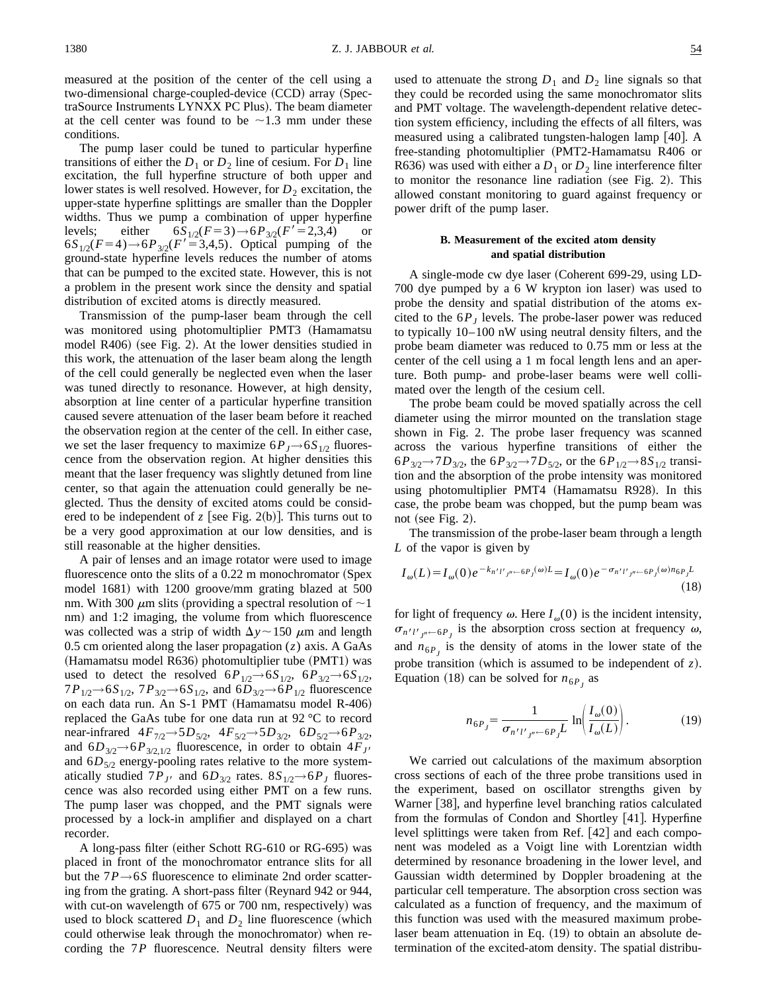measured at the position of the center of the cell using a two-dimensional charge-coupled-device (CCD) array (SpectraSource Instruments LYNXX PC Plus). The beam diameter at the cell center was found to be  $\sim$ 1.3 mm under these conditions.

The pump laser could be tuned to particular hyperfine transitions of either the  $D_1$  or  $D_2$  line of cesium. For  $D_1$  line excitation, the full hyperfine structure of both upper and lower states is well resolved. However, for  $D_2$  excitation, the upper-state hyperfine splittings are smaller than the Doppler widths. Thus we pump a combination of upper hyperfine levels; either  $6S_{1/2}(F=3) \rightarrow 6P_{3/2}(F'=2,3,4)$  or  $6S_{1/2}(F=4) \rightarrow 6P_{3/2}(F'=3,4,5)$ . Optical pumping of the ground-state hyperfine levels reduces the number of atoms that can be pumped to the excited state. However, this is not a problem in the present work since the density and spatial distribution of excited atoms is directly measured.

Transmission of the pump-laser beam through the cell was monitored using photomultiplier PMT3 (Hamamatsu model R406) (see Fig. 2). At the lower densities studied in this work, the attenuation of the laser beam along the length of the cell could generally be neglected even when the laser was tuned directly to resonance. However, at high density, absorption at line center of a particular hyperfine transition caused severe attenuation of the laser beam before it reached the observation region at the center of the cell. In either case, we set the laser frequency to maximize  $6P_J \rightarrow 6S_{1/2}$  fluorescence from the observation region. At higher densities this meant that the laser frequency was slightly detuned from line center, so that again the attenuation could generally be neglected. Thus the density of excited atoms could be considered to be independent of  $z$  [see Fig. 2(b)]. This turns out to be a very good approximation at our low densities, and is still reasonable at the higher densities.

A pair of lenses and an image rotator were used to image fluorescence onto the slits of a  $0.22 \text{ m}$  monochromator (Spex model 1681) with 1200 groove/mm grating blazed at 500 nm. With 300  $\mu$ m slits (providing a spectral resolution of  $\sim$ 1 nm) and 1:2 imaging, the volume from which fluorescence was collected was a strip of width  $\Delta y \sim 150 \mu$ m and length 0.5 cm oriented along the laser propagation  $(z)$  axis. A GaAs (Hamamatsu model R636) photomultiplier tube (PMT1) was used to detect the resolved  $6P_{1/2}$  $\rightarrow 6S_{1/2}$ ,  $6P_{3/2}$  $\rightarrow 6S_{1/2}$ , 7*P*<sub>1/2</sub>→6*S*<sub>1/2</sub>, 7*P*<sub>3/2</sub>→6*S*<sub>1/2</sub>, and 6*D*<sub>3/2</sub>→6*P*<sub>1/2</sub> fluorescence on each data run. An S-1 PMT (Hamamatsu model R-406) replaced the GaAs tube for one data run at 92 °C to record near-infrared 4*F*7/2*→*5*D*5/2, 4*F*5/2*→*5*D*3/2, 6*D*5/2*→*6*P*3/2, and  $6D_{3/2}$  $\rightarrow$   $6P_{3/2,1/2}$  fluorescence, in order to obtain  $4F_J$ , and  $6D_{5/2}$  energy-pooling rates relative to the more systematically studied  $7P_{J}$  and  $6D_{3/2}$  rates.  $8S_{1/2}$   $\rightarrow$  6 $P_J$  fluorescence was also recorded using either PMT on a few runs. The pump laser was chopped, and the PMT signals were processed by a lock-in amplifier and displayed on a chart recorder.

A long-pass filter (either Schott RG-610 or RG-695) was placed in front of the monochromator entrance slits for all but the 7*P→*6*S* fluorescence to eliminate 2nd order scattering from the grating. A short-pass filter (Reynard 942 or 944, with cut-on wavelength of  $675$  or  $700$  nm, respectively) was used to block scattered  $D_1$  and  $D_2$  line fluorescence (which could otherwise leak through the monochromator) when recording the 7*P* fluorescence. Neutral density filters were used to attenuate the strong  $D_1$  and  $D_2$  line signals so that they could be recorded using the same monochromator slits and PMT voltage. The wavelength-dependent relative detection system efficiency, including the effects of all filters, was measured using a calibrated tungsten-halogen lamp [40]. A free-standing photomultiplier (PMT2-Hamamatsu R406 or R636) was used with either a  $D_1$  or  $D_2$  line interference filter to monitor the resonance line radiation (see Fig. 2). This allowed constant monitoring to guard against frequency or power drift of the pump laser.

# **B. Measurement of the excited atom density and spatial distribution**

A single-mode cw dye laser (Coherent 699-29, using LD-700 dye pumped by a 6 W krypton ion laser) was used to probe the density and spatial distribution of the atoms excited to the  $6P_J$  levels. The probe-laser power was reduced to typically 10–100 nW using neutral density filters, and the probe beam diameter was reduced to 0.75 mm or less at the center of the cell using a 1 m focal length lens and an aperture. Both pump- and probe-laser beams were well collimated over the length of the cesium cell.

The probe beam could be moved spatially across the cell diameter using the mirror mounted on the translation stage shown in Fig. 2. The probe laser frequency was scanned across the various hyperfine transitions of either the  $6P_{3/2}$  $\rightarrow$  7*D*<sub>3/2</sub>, the  $6P_{3/2}$  $\rightarrow$  7*D*<sub>5/2</sub>, or the  $6P_{1/2}$  $\rightarrow$  8*S*<sub>1/2</sub> transition and the absorption of the probe intensity was monitored using photomultiplier PMT4 (Hamamatsu R928). In this case, the probe beam was chopped, but the pump beam was not (see Fig. 2).

The transmission of the probe-laser beam through a length *L* of the vapor is given by

$$
I_{\omega}(L) = I_{\omega}(0)e^{-k_{n'l'J''-6P_J}(\omega)L} = I_{\omega}(0)e^{-\sigma_{n'l'J''-6P_J}(\omega)n_{6P_J}L}
$$
\n(18)

for light of frequency  $\omega$ . Here  $I_{\omega}(0)$  is the incident intensity,  $\sigma_{n'l'j'' \leftarrow 6P_j}$  is the absorption cross section at frequency  $\omega$ , and  $n_{6P}$  is the density of atoms in the lower state of the probe transition (which is assumed to be independent of  $z$ ). Equation (18) can be solved for  $n_{6P_I}$  as

$$
n_{6P_J} = \frac{1}{\sigma_{n'l'_{J''} \leftarrow 6P_J L}} \ln \left( \frac{I_{\omega}(0)}{I_{\omega}(L)} \right). \tag{19}
$$

We carried out calculations of the maximum absorption cross sections of each of the three probe transitions used in the experiment, based on oscillator strengths given by Warner [38], and hyperfine level branching ratios calculated from the formulas of Condon and Shortley  $[41]$ . Hyperfine level splittings were taken from Ref.  $[42]$  and each component was modeled as a Voigt line with Lorentzian width determined by resonance broadening in the lower level, and Gaussian width determined by Doppler broadening at the particular cell temperature. The absorption cross section was calculated as a function of frequency, and the maximum of this function was used with the measured maximum probelaser beam attenuation in Eq.  $(19)$  to obtain an absolute determination of the excited-atom density. The spatial distribu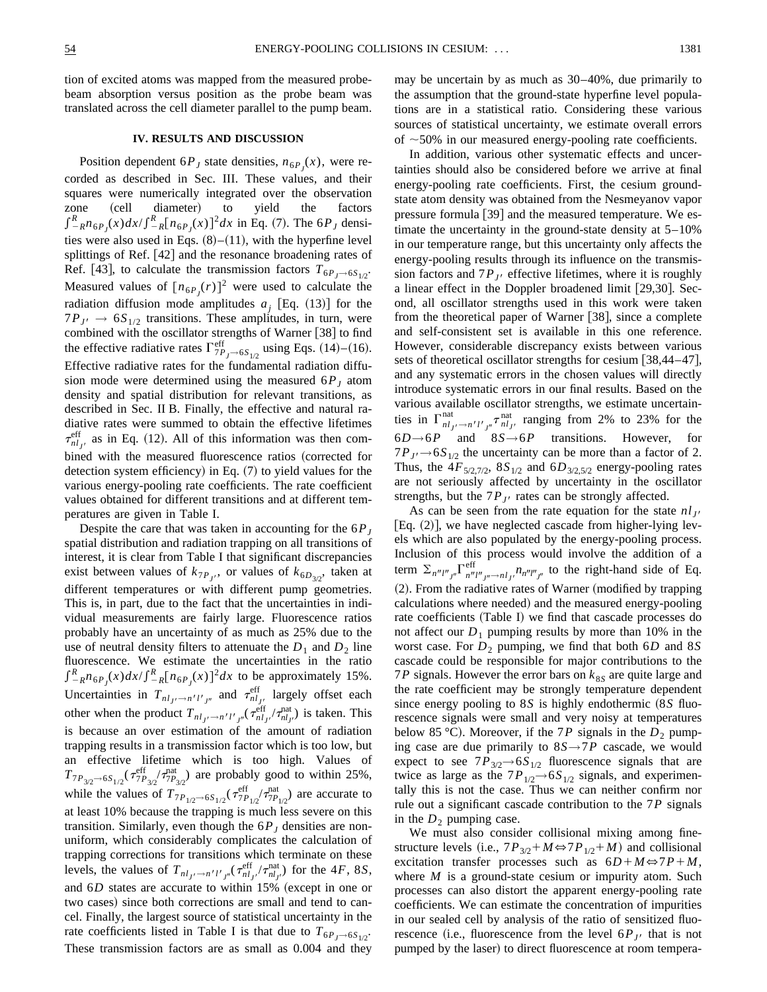tion of excited atoms was mapped from the measured probebeam absorption versus position as the probe beam was translated across the cell diameter parallel to the pump beam.

#### **IV. RESULTS AND DISCUSSION**

Position dependent  $6P_J$  state densities,  $n_{6P_J}(x)$ , were recorded as described in Sec. III. These values, and their squares were numerically integrated over the observation zone (cell diameter) to yield the factors  $\int_{-R}^{R} n_{6P_J}(x) dx / \int_{-R}^{R} [n_{6P_J}(x)]^2 dx$  in Eq. (7). The 6*P<sub>J</sub>* densities were also used in Eqs.  $(8)–(11)$ , with the hyperfine level splittings of Ref. [42] and the resonance broadening rates of Ref. [43], to calculate the transmission factors  $T_{6P_1 \rightarrow 6S_1/2}$ . Measured values of  $[n_{6P_J}(r)]^2$  were used to calculate the radiation diffusion mode amplitudes  $a_j$  [Eq. (13)] for the  $7P_{J}$   $\rightarrow$  6*S*<sub>1/2</sub> transitions. These amplitudes, in turn, were combined with the oscillator strengths of Warner  $[38]$  to find the effective radiative rates  $\Gamma_{7P_J \to 6S_{1/2}}^{\text{eff}}$  using Eqs. (14)–(16). Effective radiative rates for the fundamental radiation diffusion mode were determined using the measured  $6P<sub>I</sub>$  atom density and spatial distribution for relevant transitions, as described in Sec. II B. Finally, the effective and natural radiative rates were summed to obtain the effective lifetimes  $\tau_{nl_{J'}}^{\text{eff}}$  as in Eq. (12). All of this information was then combined with the measured fluorescence ratios (corrected for detection system efficiency) in Eq.  $(7)$  to yield values for the various energy-pooling rate coefficients. The rate coefficient values obtained for different transitions and at different temperatures are given in Table I.

Despite the care that was taken in accounting for the  $6P<sub>J</sub>$ spatial distribution and radiation trapping on all transitions of interest, it is clear from Table I that significant discrepancies exist between values of  $k_{7P_J}$ , or values of  $k_{6D_{3/2}}$ , taken at different temperatures or with different pump geometries. This is, in part, due to the fact that the uncertainties in individual measurements are fairly large. Fluorescence ratios probably have an uncertainty of as much as 25% due to the use of neutral density filters to attenuate the  $D_1$  and  $D_2$  line fluorescence. We estimate the uncertainties in the ratio  $\int_{-R}^{R} n_{6P_J}(x) dx / \int_{-R}^{R} [n_{6P_J}(x)]^2 dx$  to be approximately 15%. Uncertainties in  $T_{nl_J/2}$  and  $\tau_{nl_{J'}}^{\text{eff}}$  largely offset each other when the product  $T_{nl_{J'}} \rightarrow n'l'_{J''} (\tau_{nl_{J'}}^{\text{eff}} / \tau_{nl_{J'}}^{\text{nat}})$  is taken. This is because an over estimation of the amount of radiation trapping results in a transmission factor which is too low, but an effective lifetime which is too high. Values of  $T_{7P_{3/2} \to 6S_{1/2}} (\tau_{7P_{3/2}}^{\text{eff}}/T_{7P_{3/2}}^{\text{nat}})$  are probably good to within 25%, while the values of  $T_{7P_{1/2} \rightarrow 6S_{1/2}} (\tau_{7P_{1/2}}^{\text{eff}}/\tau_{7P_{1/2}}^{\text{nat}})$  are accurate to at least 10% because the trapping is much less severe on this transition. Similarly, even though the  $6P<sub>J</sub>$  densities are nonuniform, which considerably complicates the calculation of trapping corrections for transitions which terminate on these levels, the values of  $T_{nl_{J'}\rightarrow n'l'_{J''}}(\tau_{nl_{J'}}^{\text{eff}}/\tau_{nl_{J'}}^{\text{nat}})$  for the 4*F*, 8*S*, and  $6D$  states are accurate to within  $15%$  (except in one or two cases) since both corrections are small and tend to cancel. Finally, the largest source of statistical uncertainty in the rate coefficients listed in Table I is that due to  $T_{6P}$ <sub> $\rightarrow$ 6*S*<sub>1/2</sub>.</sub> These transmission factors are as small as 0.004 and they may be uncertain by as much as 30–40%, due primarily to the assumption that the ground-state hyperfine level populations are in a statistical ratio. Considering these various sources of statistical uncertainty, we estimate overall errors of  $\sim$  50% in our measured energy-pooling rate coefficients.

In addition, various other systematic effects and uncertainties should also be considered before we arrive at final energy-pooling rate coefficients. First, the cesium groundstate atom density was obtained from the Nesmeyanov vapor pressure formula  $[39]$  and the measured temperature. We estimate the uncertainty in the ground-state density at  $5-10\%$ in our temperature range, but this uncertainty only affects the energy-pooling results through its influence on the transmission factors and  $7P_{J}$  effective lifetimes, where it is roughly a linear effect in the Doppler broadened limit  $[29,30]$ . Second, all oscillator strengths used in this work were taken from the theoretical paper of Warner  $[38]$ , since a complete and self-consistent set is available in this one reference. However, considerable discrepancy exists between various sets of theoretical oscillator strengths for cesium  $\left[38,44-47\right]$ , and any systematic errors in the chosen values will directly introduce systematic errors in our final results. Based on the various available oscillator strengths, we estimate uncertainties in  $\Gamma_{nl_j}^{\text{nat}}$ ,  $\rightarrow n'l'_{j'}$ ,  $\tau_{nl_{j'}}^{\text{nat}}$  ranging from 2% to 23% for the 6*D→*6*P* and 8*S→*6*P* transitions. However, for  $7P_{J} \rightarrow 6S_{1/2}$  the uncertainty can be more than a factor of 2. Thus, the  $4F_{5/2,7/2}$ ,  $8S_{1/2}$  and  $6D_{3/2,5/2}$  energy-pooling rates are not seriously affected by uncertainty in the oscillator strengths, but the  $7P_{J}$  rates can be strongly affected.

As can be seen from the rate equation for the state  $nl_{J'}$  [Eq. (2)], we have neglected cascade from higher-lying levels which are also populated by the energy-pooling process. Inclusion of this process would involve the addition of a term  $\sum_{n''l''j''}\Gamma_{n''l''j'' \to n l_j'}^{eff} n_{n''l''j''}$  to the right-hand side of Eq. (2). From the radiative rates of Warner (modified by trapping calculations where needed) and the measured energy-pooling rate coefficients (Table I) we find that cascade processes do not affect our  $D_1$  pumping results by more than 10% in the worst case. For  $D_2$  pumping, we find that both  $6D$  and  $8S$ cascade could be responsible for major contributions to the 7*P* signals. However the error bars on  $k_{8S}$  are quite large and the rate coefficient may be strongly temperature dependent since energy pooling to  $8S$  is highly endothermic  $(8S$  fluorescence signals were small and very noisy at temperatures below 85 °C). Moreover, if the 7*P* signals in the  $D_2$  pumping case are due primarily to  $8S \rightarrow 7P$  cascade, we would expect to see  $7P_{3/2}$  $\rightarrow$  6*S*<sub>1/2</sub> fluorescence signals that are twice as large as the  $7P_{1/2}$  $\rightarrow$  6 $S_{1/2}$  signals, and experimentally this is not the case. Thus we can neither confirm nor rule out a significant cascade contribution to the 7*P* signals in the  $D_2$  pumping case.

We must also consider collisional mixing among finestructure levels (i.e.,  $7P_{3/2}$ + $M \Leftrightarrow 7P_{1/2}$ + $M$ ) and collisional excitation transfer processes such as  $6D+M \Leftrightarrow 7P+M$ , where *M* is a ground-state cesium or impurity atom. Such processes can also distort the apparent energy-pooling rate coefficients. We can estimate the concentration of impurities in our sealed cell by analysis of the ratio of sensitized fluorescence (i.e., fluorescence from the level  $6P_{J}$  that is not pumped by the laser) to direct fluorescence at room tempera-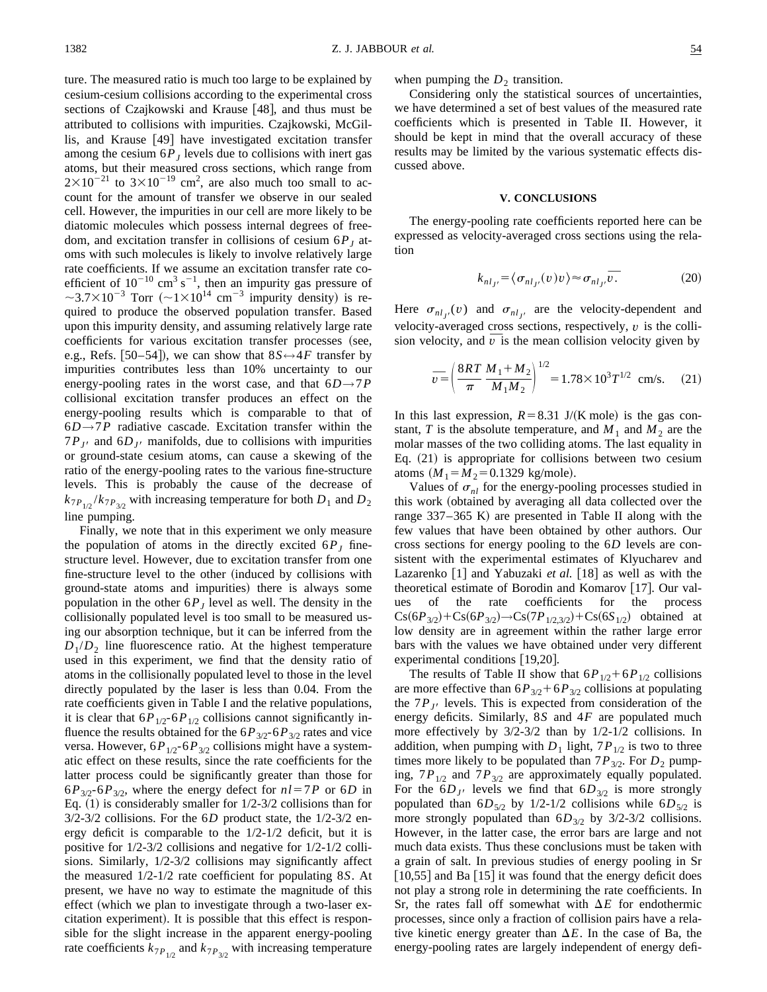when pumping the  $D_2$  transition.

Considering only the statistical sources of uncertainties, we have determined a set of best values of the measured rate coefficients which is presented in Table II. However, it should be kept in mind that the overall accuracy of these results may be limited by the various systematic effects discussed above.

#### **V. CONCLUSIONS**

The energy-pooling rate coefficients reported here can be expressed as velocity-averaged cross sections using the relation

$$
k_{nl_{J'}} = \langle \sigma_{nl_{J'}}(v)v \rangle \approx \sigma_{nl_{J'}}\overline{v}.
$$
 (20)

Here  $\sigma_{nl_j}$  (*v*) and  $\sigma_{nl_{j'}}$  are the velocity-dependent and velocity-averaged cross sections, respectively, *v* is the collivelocity-averaged cross sections, respectively,  $v$  is the collision velocity, and  $\bar{v}$  is the mean collision velocity given by

$$
\overline{v} = \left(\frac{8RT}{\pi} \frac{M_1 + M_2}{M_1 M_2}\right)^{1/2} = 1.78 \times 10^3 T^{1/2} \text{ cm/s.}
$$
 (21)

In this last expression,  $R=8.31$  J/(K mole) is the gas constant, *T* is the absolute temperature, and  $M_1$  and  $M_2$  are the molar masses of the two colliding atoms. The last equality in Eq.  $(21)$  is appropriate for collisions between two cesium atoms  $(M_1 = M_2 = 0.1329$  kg/mole).

Values of  $\sigma_{nl}$  for the energy-pooling processes studied in this work (obtained by averaging all data collected over the range  $337-365$  K) are presented in Table II along with the few values that have been obtained by other authors. Our cross sections for energy pooling to the 6*D* levels are consistent with the experimental estimates of Klyucharev and Lazarenko [1] and Yabuzaki *et al.* [18] as well as with the theoretical estimate of Borodin and Komarov [17]. Our values of the rate coefficients for the process  $Cs(6P_{3/2})+Cs(6P_{3/2}) \rightarrow Cs(7P_{1/2,3/2})+Cs(6S_{1/2})$  obtained at low density are in agreement within the rather large error bars with the values we have obtained under very different experimental conditions  $[19,20]$ .

The results of Table II show that  $6P_{1/2}+6P_{1/2}$  collisions are more effective than  $6P_{3/2}+6P_{3/2}$  collisions at populating the  $7P_{J}$ <sup>b</sup> levels. This is expected from consideration of the energy deficits. Similarly, 8*S* and 4*F* are populated much more effectively by 3/2-3/2 than by 1/2-1/2 collisions. In addition, when pumping with  $D_1$  light,  $7P_{1/2}$  is two to three times more likely to be populated than  $7P_{3/2}$ . For  $D_2$  pumping,  $7P_{1/2}$  and  $7P_{3/2}$  are approximately equally populated. For the  $6D_{J}$  levels we find that  $6D_{3/2}$  is more strongly populated than  $6D_{5/2}$  by  $1/2-1/2$  collisions while  $6D_{5/2}$  is more strongly populated than  $6D_{3/2}$  by  $3/2-3/2$  collisions. However, in the latter case, the error bars are large and not much data exists. Thus these conclusions must be taken with a grain of salt. In previous studies of energy pooling in Sr  $\left[10,55\right]$  and Ba  $\left[15\right]$  it was found that the energy deficit does not play a strong role in determining the rate coefficients. In Sr, the rates fall off somewhat with  $\Delta E$  for endothermic processes, since only a fraction of collision pairs have a relative kinetic energy greater than  $\Delta E$ . In the case of Ba, the energy-pooling rates are largely independent of energy defi-

cesium-cesium collisions according to the experimental cross sections of Czajkowski and Krause [48], and thus must be attributed to collisions with impurities. Czajkowski, McGillis, and Krause [49] have investigated excitation transfer among the cesium  $6P<sub>J</sub>$  levels due to collisions with inert gas atoms, but their measured cross sections, which range from  $2\times10^{-21}$  to  $3\times10^{-19}$  cm<sup>2</sup>, are also much too small to account for the amount of transfer we observe in our sealed cell. However, the impurities in our cell are more likely to be diatomic molecules which possess internal degrees of freedom, and excitation transfer in collisions of cesium  $6P<sub>J</sub>$  atoms with such molecules is likely to involve relatively large rate coefficients. If we assume an excitation transfer rate coefficient of  $10^{-10}$  cm<sup>3</sup> s<sup>-1</sup>, then an impurity gas pressure of  $\sim$ 3.7×10<sup>-3</sup> Torr ( $\sim$ 1×10<sup>14</sup> cm<sup>-3</sup> impurity density) is required to produce the observed population transfer. Based upon this impurity density, and assuming relatively large rate coefficients for various excitation transfer processes (see, e.g., Refs.  $[50-54]$ , we can show that  $8S \leftrightarrow 4F$  transfer by impurities contributes less than 10% uncertainty to our energy-pooling rates in the worst case, and that  $6D \rightarrow 7P$ collisional excitation transfer produces an effect on the energy-pooling results which is comparable to that of 6*D→*7*P* radiative cascade. Excitation transfer within the  $7P_{J}$  and  $6D_{J}$  manifolds, due to collisions with impurities or ground-state cesium atoms, can cause a skewing of the ratio of the energy-pooling rates to the various fine-structure levels. This is probably the cause of the decrease of  $k_{7P_{1/2}}/k_{7P_{3/2}}$  with increasing temperature for both  $D_1$  and  $D_2$ line pumping.

ture. The measured ratio is much too large to be explained by

Finally, we note that in this experiment we only measure the population of atoms in the directly excited  $6P<sub>I</sub>$  finestructure level. However, due to excitation transfer from one fine-structure level to the other (induced by collisions with ground-state atoms and impurities) there is always some population in the other  $6P<sub>J</sub>$  level as well. The density in the collisionally populated level is too small to be measured using our absorption technique, but it can be inferred from the  $D_1/D_2$  line fluorescence ratio. At the highest temperature used in this experiment, we find that the density ratio of atoms in the collisionally populated level to those in the level directly populated by the laser is less than 0.04. From the rate coefficients given in Table I and the relative populations, it is clear that  $6P_{1/2}$ - $6P_{1/2}$  collisions cannot significantly influence the results obtained for the  $6P_{3/2}$ - $6P_{3/2}$  rates and vice versa. However,  $6P_{1/2}$ - $6P_{3/2}$  collisions might have a systematic effect on these results, since the rate coefficients for the latter process could be significantly greater than those for  $6P_{3/2}$ - $6P_{3/2}$ , where the energy defect for  $nl=7P$  or  $6D$  in Eq.  $(1)$  is considerably smaller for  $1/2-3/2$  collisions than for 3/2-3/2 collisions. For the 6*D* product state, the 1/2-3/2 energy deficit is comparable to the 1/2-1/2 deficit, but it is positive for 1/2-3/2 collisions and negative for 1/2-1/2 collisions. Similarly, 1/2-3/2 collisions may significantly affect the measured 1/2-1/2 rate coefficient for populating 8*S*. At present, we have no way to estimate the magnitude of this effect (which we plan to investigate through a two-laser excitation experiment). It is possible that this effect is responsible for the slight increase in the apparent energy-pooling rate coefficients  $k_{7P_{1/2}}$  and  $k_{7P_{3/2}}$  with increasing temperature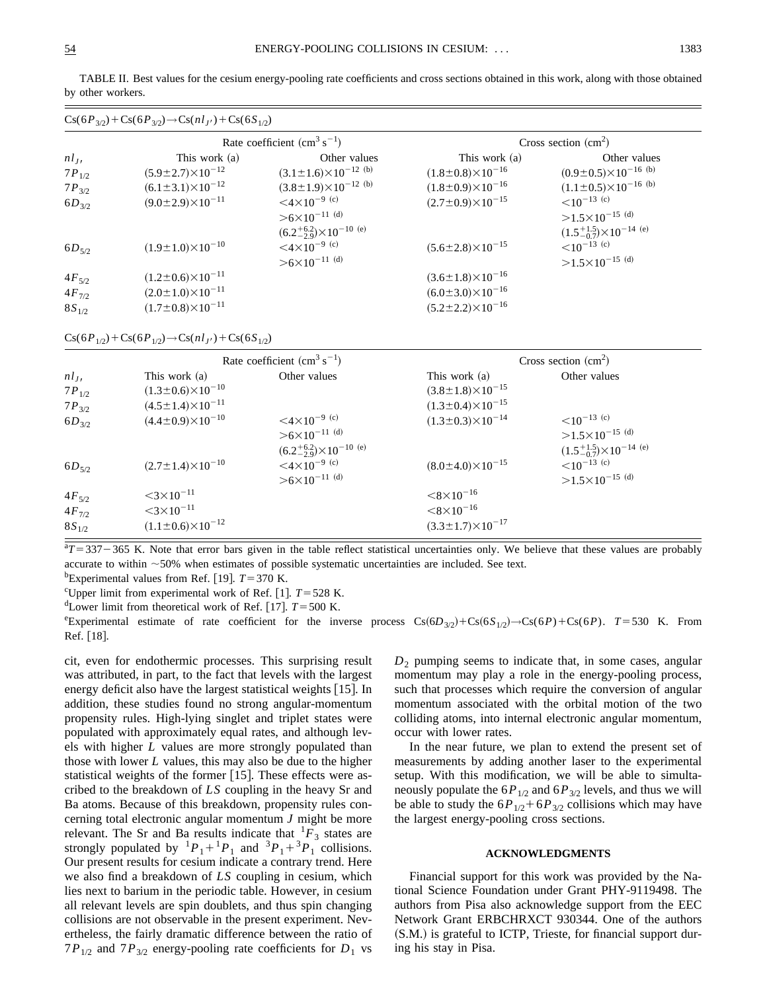|            | $\text{Cs}(6P_{3/2}) + \text{Cs}(6P_{3/2}) \rightarrow \text{Cs}(nl_{J'}) + \text{Cs}(6S_{1/2})$ |                                                 |                                 |                                           |
|------------|--------------------------------------------------------------------------------------------------|-------------------------------------------------|---------------------------------|-------------------------------------------|
|            |                                                                                                  | Rate coefficient $\text{(cm}^3 \text{ s}^{-1})$ |                                 | Cross section $(cm2)$                     |
| $nl_J$     | This work (a)                                                                                    | Other values                                    | This work (a)                   | Other values                              |
| $7P_{1/2}$ | $(5.9 \pm 2.7) \times 10^{-12}$                                                                  | $(3.1 \pm 1.6) \times 10^{-12}$ (b)             | $(1.8\pm0.8)\times10^{-16}$     | $(0.9\pm0.5)\times10^{-16}$ (b)           |
| $7P_{3/2}$ | $(6.1 \pm 3.1) \times 10^{-12}$                                                                  | $(3.8 \pm 1.9) \times 10^{-12}$ (b)             | $(1.8\pm0.9)\times10^{-16}$     | $(1.1 \pm 0.5) \times 10^{-16}$ (b)       |
| $6D_{3/2}$ | $(9.0 \pm 2.9) \times 10^{-11}$                                                                  | $<$ 4 $\times$ 10 <sup>-9 (c)</sup>             | $(2.7 \pm 0.9) \times 10^{-15}$ | $\leq 10^{-13}$ (c)                       |
|            |                                                                                                  | $>6\times10^{-11}$ (d)                          |                                 | $>1.5\times10^{-15}$ (d)                  |
|            |                                                                                                  | $(6.2^{+6.2}_{-2.9}) \times 10^{-10}$ (e)       |                                 | $(1.5^{+1.5}_{-0.7}) \times 10^{-14}$ (e) |
| $6D_{5/2}$ | $(1.9 \pm 1.0) \times 10^{-10}$                                                                  | $<$ 4 $\times$ 10 <sup>-9 (c)</sup>             | $(5.6 \pm 2.8) \times 10^{-15}$ | $<$ 10 <sup>-13 (c)</sup>                 |
|            |                                                                                                  | $>6\times10^{-11}$ (d)                          |                                 | $>1.5\times10^{-15}$ (d)                  |
| $4F_{5/2}$ | $(1.2\pm0.6)\times10^{-11}$                                                                      |                                                 | $(3.6 \pm 1.8) \times 10^{-16}$ |                                           |
| $4F_{7/2}$ | $(2.0 \pm 1.0) \times 10^{-11}$                                                                  |                                                 | $(6.0 \pm 3.0) \times 10^{-16}$ |                                           |
| $8S_{1/2}$ | $(1.7 \pm 0.8) \times 10^{-11}$                                                                  |                                                 | $(5.2 \pm 2.2) \times 10^{-16}$ |                                           |

TABLE II. Best values for the cesium energy-pooling rate coefficients and cross sections obtained in this work, along with those obtained by other workers.

 $\text{Cs}(6P_{1/2})+\text{Cs}(6P_{1/2})\rightarrow\text{Cs}(nl_{J'})+\text{Cs}(6S_{1/2})$ 

|                                        |                                                                                                         | Rate coefficient $\rm (cm^3 \ s^{-1})$                                                                     |                                                                                           | Cross section $(cm2)$                                                                              |
|----------------------------------------|---------------------------------------------------------------------------------------------------------|------------------------------------------------------------------------------------------------------------|-------------------------------------------------------------------------------------------|----------------------------------------------------------------------------------------------------|
| $nl_J$<br>$7P_{1/2}$<br>$7P_{3/2}$     | This work (a)<br>$(1.3\pm0.6)\times10^{-10}$<br>$(4.5 \pm 1.4) \times 10^{-11}$                         | Other values                                                                                               | This work (a)<br>$(3.8 \pm 1.8) \times 10^{-15}$<br>$(1.3\pm0.4)\times10^{-15}$           | Other values                                                                                       |
| $6D_{3/2}$                             | $(4.4 \pm 0.9) \times 10^{-10}$                                                                         | $<$ 4 $\times$ 10 <sup>-9 (c)</sup><br>$>6\times10^{-11}$ (d)                                              | $(1.3\pm0.3)\times10^{-14}$                                                               | $<$ 10 <sup>-13 (c)</sup><br>$>1.5\times10^{-15}$ (d)                                              |
| $6D_{5/2}$                             | $(2.7 \pm 1.4) \times 10^{-10}$                                                                         | $(6.2^{+6.2}_{-2.9}) \times 10^{-10}$ (e)<br>$<$ 4 $\times$ 10 <sup>-9 (c)</sup><br>$>6\times10^{-11}$ (d) | $(8.0 \pm 4.0) \times 10^{-15}$                                                           | $(1.5^{+1.5}_{-0.7}) \times 10^{-14}$ (e)<br>$<$ 10 <sup>-13 (c)</sup><br>$>1.5\times10^{-15}$ (d) |
| $4F_{5/2}$<br>$4F_{7/2}$<br>$8S_{1/2}$ | $<$ 3 $\times$ 10 <sup>-11</sup><br>$<$ 3 $\times$ 10 <sup>-11</sup><br>$(1.1 \pm 0.6) \times 10^{-12}$ |                                                                                                            | $<8\times10^{-16}$<br>$<$ 8 $\times$ 10 <sup>-16</sup><br>$(3.3 \pm 1.7) \times 10^{-17}$ |                                                                                                    |

 $T = 337 - 365$  K. Note that error bars given in the table reflect statistical uncertainties only. We believe that these values are probably accurate to within  $\sim$ 50% when estimates of possible systematic uncertainties are included. See text.

<sup>b</sup>Experimental values from Ref. [19].  $T = 370$  K.

<sup>c</sup>Upper limit from experimental work of Ref. [1].  $T = 528$  K.

<sup>d</sup>Lower limit from theoretical work of Ref. [17].  $T = 500$  K.

 ${}^{\circ}$ Experimental estimate of rate coefficient for the inverse process  $Cs(6D_{3/2})+Cs(6S_{1/2}) \rightarrow Cs(6P) + Cs(6P)$ . *T*=530 K. From Ref. [18].

cit, even for endothermic processes. This surprising result was attributed, in part, to the fact that levels with the largest energy deficit also have the largest statistical weights  $[15]$ . In addition, these studies found no strong angular-momentum propensity rules. High-lying singlet and triplet states were populated with approximately equal rates, and although levels with higher *L* values are more strongly populated than those with lower *L* values, this may also be due to the higher statistical weights of the former  $[15]$ . These effects were ascribed to the breakdown of *LS* coupling in the heavy Sr and Ba atoms. Because of this breakdown, propensity rules concerning total electronic angular momentum *J* might be more relevant. The Sr and Ba results indicate that  ${}^{1}F_{3}$  states are strongly populated by  ${}^{1}P_{1}+{}^{1}P_{1}$  and  ${}^{3}P_{1}+{}^{3}P_{1}$  collisions. Our present results for cesium indicate a contrary trend. Here we also find a breakdown of *LS* coupling in cesium, which lies next to barium in the periodic table. However, in cesium all relevant levels are spin doublets, and thus spin changing collisions are not observable in the present experiment. Nevertheless, the fairly dramatic difference between the ratio of  $7P_{1/2}$  and  $7P_{3/2}$  energy-pooling rate coefficients for  $D_1$  vs *D*<sup>2</sup> pumping seems to indicate that, in some cases, angular momentum may play a role in the energy-pooling process, such that processes which require the conversion of angular momentum associated with the orbital motion of the two colliding atoms, into internal electronic angular momentum, occur with lower rates.

In the near future, we plan to extend the present set of measurements by adding another laser to the experimental setup. With this modification, we will be able to simultaneously populate the  $6P_{1/2}$  and  $6P_{3/2}$  levels, and thus we will be able to study the  $6P_{1/2}+6P_{3/2}$  collisions which may have the largest energy-pooling cross sections.

#### **ACKNOWLEDGMENTS**

Financial support for this work was provided by the National Science Foundation under Grant PHY-9119498. The authors from Pisa also acknowledge support from the EEC Network Grant ERBCHRXCT 930344. One of the authors  $(S.M.)$  is grateful to ICTP, Trieste, for financial support during his stay in Pisa.